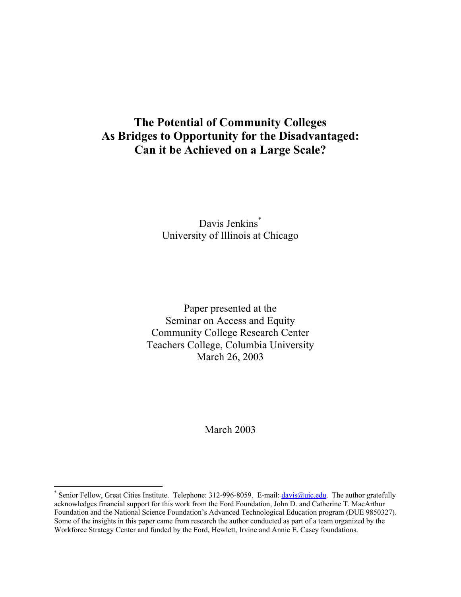# **The Potential of Community Colleges As Bridges to Opportunity for the Disadvantaged: Can it be Achieved on a Large Scale?**

## Davis Jenkins<sup>\*</sup> University of Illinois at Chicago

Paper presented at the Seminar on Access and Equity Community College Research Center Teachers College, Columbia University March 26, 2003

March 2003

 $\overline{a}$ 

<sup>\*</sup> Senior Fellow, Great Cities Institute. Telephone: 312-996-8059. E-mail: *davis@uic.edu*. The author gratefully acknowledges financial support for this work from the Ford Foundation, John D. and Catherine T. MacArthur Foundation and the National Science Foundation's Advanced Technological Education program (DUE 9850327). Some of the insights in this paper came from research the author conducted as part of a team organized by the Workforce Strategy Center and funded by the Ford, Hewlett, Irvine and Annie E. Casey foundations.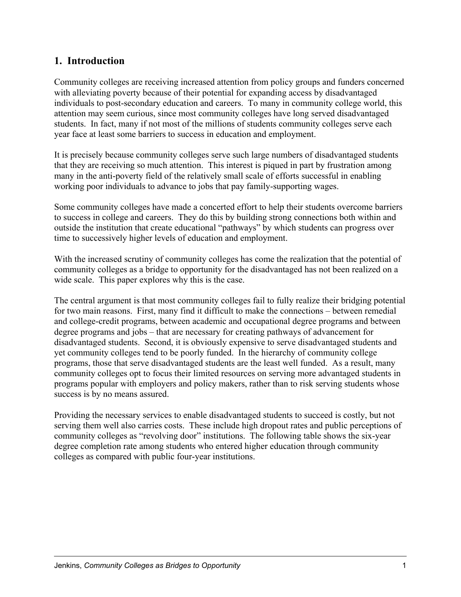### **1. Introduction**

Community colleges are receiving increased attention from policy groups and funders concerned with alleviating poverty because of their potential for expanding access by disadvantaged individuals to post-secondary education and careers. To many in community college world, this attention may seem curious, since most community colleges have long served disadvantaged students. In fact, many if not most of the millions of students community colleges serve each year face at least some barriers to success in education and employment.

It is precisely because community colleges serve such large numbers of disadvantaged students that they are receiving so much attention. This interest is piqued in part by frustration among many in the anti-poverty field of the relatively small scale of efforts successful in enabling working poor individuals to advance to jobs that pay family-supporting wages.

Some community colleges have made a concerted effort to help their students overcome barriers to success in college and careers. They do this by building strong connections both within and outside the institution that create educational "pathways" by which students can progress over time to successively higher levels of education and employment.

With the increased scrutiny of community colleges has come the realization that the potential of community colleges as a bridge to opportunity for the disadvantaged has not been realized on a wide scale. This paper explores why this is the case.

The central argument is that most community colleges fail to fully realize their bridging potential for two main reasons. First, many find it difficult to make the connections – between remedial and college-credit programs, between academic and occupational degree programs and between degree programs and jobs – that are necessary for creating pathways of advancement for disadvantaged students. Second, it is obviously expensive to serve disadvantaged students and yet community colleges tend to be poorly funded. In the hierarchy of community college programs, those that serve disadvantaged students are the least well funded. As a result, many community colleges opt to focus their limited resources on serving more advantaged students in programs popular with employers and policy makers, rather than to risk serving students whose success is by no means assured.

Providing the necessary services to enable disadvantaged students to succeed is costly, but not serving them well also carries costs. These include high dropout rates and public perceptions of community colleges as "revolving door" institutions. The following table shows the six-year degree completion rate among students who entered higher education through community colleges as compared with public four-year institutions.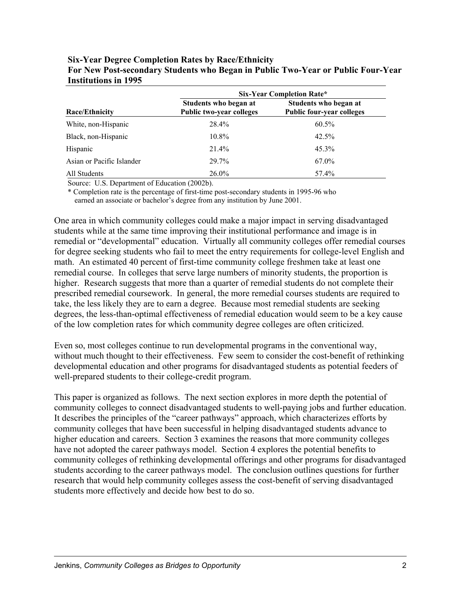|                           | <b>Six-Year Completion Rate*</b>                         |                                                           |  |
|---------------------------|----------------------------------------------------------|-----------------------------------------------------------|--|
| <b>Race/Ethnicity</b>     | Students who began at<br><b>Public two-year colleges</b> | Students who began at<br><b>Public four-year colleges</b> |  |
| White, non-Hispanic       | 28.4%                                                    | 60.5%                                                     |  |
| Black, non-Hispanic       | 10.8%                                                    | 42.5%                                                     |  |
| Hispanic                  | 21.4%                                                    | $45.3\%$                                                  |  |
| Asian or Pacific Islander | 29.7%                                                    | 67.0%                                                     |  |
| All Students              | $26.0\%$                                                 | 57.4%                                                     |  |

**Six-Year Degree Completion Rates by Race/Ethnicity For New Post-secondary Students who Began in Public Two-Year or Public Four-Year Institutions in 1995** 

Source: U.S. Department of Education (2002b).

\* Completion rate is the percentage of first-time post-secondary students in 1995-96 who earned an associate or bachelor's degree from any institution by June 2001.

One area in which community colleges could make a major impact in serving disadvantaged students while at the same time improving their institutional performance and image is in remedial or "developmental" education. Virtually all community colleges offer remedial courses for degree seeking students who fail to meet the entry requirements for college-level English and math. An estimated 40 percent of first-time community college freshmen take at least one remedial course. In colleges that serve large numbers of minority students, the proportion is higher. Research suggests that more than a quarter of remedial students do not complete their prescribed remedial coursework. In general, the more remedial courses students are required to take, the less likely they are to earn a degree. Because most remedial students are seeking degrees, the less-than-optimal effectiveness of remedial education would seem to be a key cause of the low completion rates for which community degree colleges are often criticized.

Even so, most colleges continue to run developmental programs in the conventional way, without much thought to their effectiveness. Few seem to consider the cost-benefit of rethinking developmental education and other programs for disadvantaged students as potential feeders of well-prepared students to their college-credit program.

This paper is organized as follows. The next section explores in more depth the potential of community colleges to connect disadvantaged students to well-paying jobs and further education. It describes the principles of the "career pathways" approach, which characterizes efforts by community colleges that have been successful in helping disadvantaged students advance to higher education and careers. Section 3 examines the reasons that more community colleges have not adopted the career pathways model. Section 4 explores the potential benefits to community colleges of rethinking developmental offerings and other programs for disadvantaged students according to the career pathways model. The conclusion outlines questions for further research that would help community colleges assess the cost-benefit of serving disadvantaged students more effectively and decide how best to do so.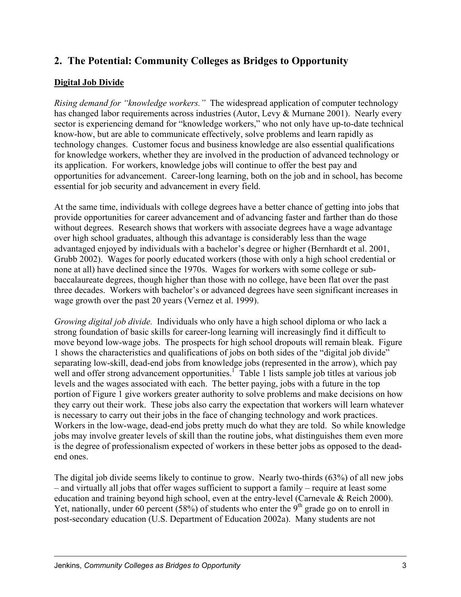## **2. The Potential: Community Colleges as Bridges to Opportunity**

#### **Digital Job Divide**

*Rising demand for "knowledge workers."* The widespread application of computer technology has changed labor requirements across industries (Autor, Levy & Murnane 2001). Nearly every sector is experiencing demand for "knowledge workers," who not only have up-to-date technical know-how, but are able to communicate effectively, solve problems and learn rapidly as technology changes. Customer focus and business knowledge are also essential qualifications for knowledge workers, whether they are involved in the production of advanced technology or its application. For workers, knowledge jobs will continue to offer the best pay and opportunities for advancement. Career-long learning, both on the job and in school, has become essential for job security and advancement in every field.

At the same time, individuals with college degrees have a better chance of getting into jobs that provide opportunities for career advancement and of advancing faster and farther than do those without degrees. Research shows that workers with associate degrees have a wage advantage over high school graduates, although this advantage is considerably less than the wage advantaged enjoyed by individuals with a bachelor's degree or higher (Bernhardt et al. 2001, Grubb 2002). Wages for poorly educated workers (those with only a high school credential or none at all) have declined since the 1970s. Wages for workers with some college or subbaccalaureate degrees, though higher than those with no college, have been flat over the past three decades. Workers with bachelor's or advanced degrees have seen significant increases in wage growth over the past 20 years (Vernez et al. 1999).

*Growing digital job divide.* Individuals who only have a high school diploma or who lack a strong foundation of basic skills for career-long learning will increasingly find it difficult to move beyond low-wage jobs. The prospects for high school dropouts will remain bleak. Figure 1 shows the characteristics and qualifications of jobs on both sides of the "digital job divide" separating low-skill, dead-end jobs from knowledge jobs (represented in the arrow), which pay well and offer strong advancement opportunities.<sup>1</sup> Table 1 lists sample job titles at various job levels and the wages associated with each. The better paying, jobs with a future in the top portion of Figure 1 give workers greater authority to solve problems and make decisions on how they carry out their work. These jobs also carry the expectation that workers will learn whatever is necessary to carry out their jobs in the face of changing technology and work practices. Workers in the low-wage, dead-end jobs pretty much do what they are told. So while knowledge jobs may involve greater levels of skill than the routine jobs, what distinguishes them even more is the degree of professionalism expected of workers in these better jobs as opposed to the deadend ones.

The digital job divide seems likely to continue to grow. Nearly two-thirds (63%) of all new jobs – and virtually all jobs that offer wages sufficient to support a family – require at least some education and training beyond high school, even at the entry-level (Carnevale & Reich 2000). Yet, nationally, under 60 percent (58%) of students who enter the 9<sup>th</sup> grade go on to enroll in post-secondary education (U.S. Department of Education 2002a). Many students are not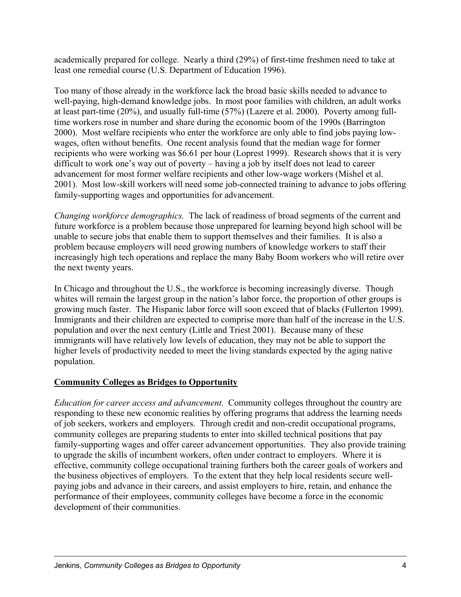academically prepared for college. Nearly a third (29%) of first-time freshmen need to take at least one remedial course (U.S. Department of Education 1996).

Too many of those already in the workforce lack the broad basic skills needed to advance to well-paying, high-demand knowledge jobs. In most poor families with children, an adult works at least part-time (20%), and usually full-time (57%) (Lazere et al. 2000). Poverty among fulltime workers rose in number and share during the economic boom of the 1990s (Barrington 2000). Most welfare recipients who enter the workforce are only able to find jobs paying lowwages, often without benefits. One recent analysis found that the median wage for former recipients who were working was \$6.61 per hour (Loprest 1999). Research shows that it is very difficult to work one's way out of poverty – having a job by itself does not lead to career advancement for most former welfare recipients and other low-wage workers (Mishel et al. 2001). Most low-skill workers will need some job-connected training to advance to jobs offering family-supporting wages and opportunities for advancement.

*Changing workforce demographics.* The lack of readiness of broad segments of the current and future workforce is a problem because those unprepared for learning beyond high school will be unable to secure jobs that enable them to support themselves and their families. It is also a problem because employers will need growing numbers of knowledge workers to staff their increasingly high tech operations and replace the many Baby Boom workers who will retire over the next twenty years.

In Chicago and throughout the U.S., the workforce is becoming increasingly diverse. Though whites will remain the largest group in the nation's labor force, the proportion of other groups is growing much faster. The Hispanic labor force will soon exceed that of blacks (Fullerton 1999). Immigrants and their children are expected to comprise more than half of the increase in the U.S. population and over the next century (Little and Triest 2001). Because many of these immigrants will have relatively low levels of education, they may not be able to support the higher levels of productivity needed to meet the living standards expected by the aging native population.

### **Community Colleges as Bridges to Opportunity**

*Education for career access and advancement.* Community colleges throughout the country are responding to these new economic realities by offering programs that address the learning needs of job seekers, workers and employers. Through credit and non-credit occupational programs, community colleges are preparing students to enter into skilled technical positions that pay family-supporting wages and offer career advancement opportunities. They also provide training to upgrade the skills of incumbent workers, often under contract to employers. Where it is effective, community college occupational training furthers both the career goals of workers and the business objectives of employers. To the extent that they help local residents secure wellpaying jobs and advance in their careers, and assist employers to hire, retain, and enhance the performance of their employees, community colleges have become a force in the economic development of their communities.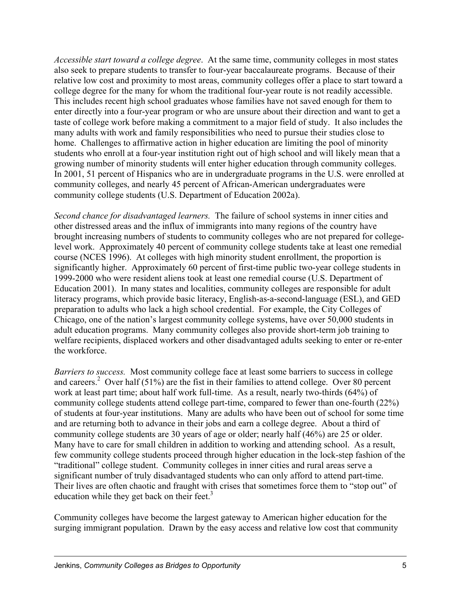*Accessible start toward a college degree*. At the same time, community colleges in most states also seek to prepare students to transfer to four-year baccalaureate programs. Because of their relative low cost and proximity to most areas, community colleges offer a place to start toward a college degree for the many for whom the traditional four-year route is not readily accessible. This includes recent high school graduates whose families have not saved enough for them to enter directly into a four-year program or who are unsure about their direction and want to get a taste of college work before making a commitment to a major field of study. It also includes the many adults with work and family responsibilities who need to pursue their studies close to home. Challenges to affirmative action in higher education are limiting the pool of minority students who enroll at a four-year institution right out of high school and will likely mean that a growing number of minority students will enter higher education through community colleges. In 2001, 51 percent of Hispanics who are in undergraduate programs in the U.S. were enrolled at community colleges, and nearly 45 percent of African-American undergraduates were community college students (U.S. Department of Education 2002a).

*Second chance for disadvantaged learners.* The failure of school systems in inner cities and other distressed areas and the influx of immigrants into many regions of the country have brought increasing numbers of students to community colleges who are not prepared for collegelevel work. Approximately 40 percent of community college students take at least one remedial course (NCES 1996). At colleges with high minority student enrollment, the proportion is significantly higher. Approximately 60 percent of first-time public two-year college students in 1999-2000 who were resident aliens took at least one remedial course (U.S. Department of Education 2001). In many states and localities, community colleges are responsible for adult literacy programs, which provide basic literacy, English-as-a-second-language (ESL), and GED preparation to adults who lack a high school credential. For example, the City Colleges of Chicago, one of the nation's largest community college systems, have over 50,000 students in adult education programs. Many community colleges also provide short-term job training to welfare recipients, displaced workers and other disadvantaged adults seeking to enter or re-enter the workforce.

*Barriers to success.* Most community college face at least some barriers to success in college and careers.<sup>2</sup> Over half (51%) are the fist in their families to attend college. Over 80 percent work at least part time; about half work full-time. As a result, nearly two-thirds (64%) of community college students attend college part-time, compared to fewer than one-fourth (22%) of students at four-year institutions. Many are adults who have been out of school for some time and are returning both to advance in their jobs and earn a college degree. About a third of community college students are 30 years of age or older; nearly half (46%) are 25 or older. Many have to care for small children in addition to working and attending school. As a result, few community college students proceed through higher education in the lock-step fashion of the "traditional" college student. Community colleges in inner cities and rural areas serve a significant number of truly disadvantaged students who can only afford to attend part-time. Their lives are often chaotic and fraught with crises that sometimes force them to "stop out" of education while they get back on their feet. $3$ 

Community colleges have become the largest gateway to American higher education for the surging immigrant population. Drawn by the easy access and relative low cost that community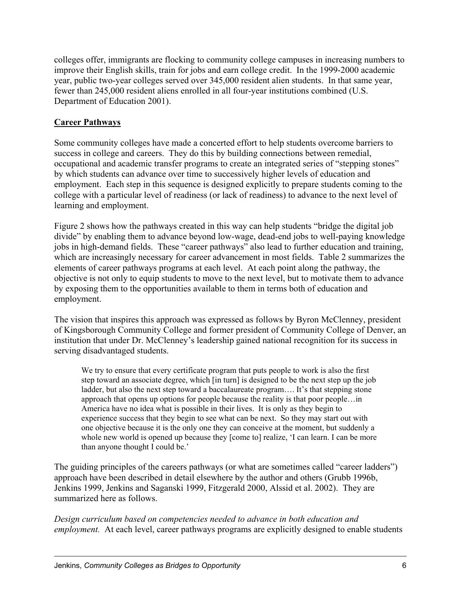colleges offer, immigrants are flocking to community college campuses in increasing numbers to improve their English skills, train for jobs and earn college credit. In the 1999-2000 academic year, public two-year colleges served over 345,000 resident alien students. In that same year, fewer than 245,000 resident aliens enrolled in all four-year institutions combined (U.S. Department of Education 2001).

### **Career Pathways**

Some community colleges have made a concerted effort to help students overcome barriers to success in college and careers. They do this by building connections between remedial, occupational and academic transfer programs to create an integrated series of "stepping stones" by which students can advance over time to successively higher levels of education and employment. Each step in this sequence is designed explicitly to prepare students coming to the college with a particular level of readiness (or lack of readiness) to advance to the next level of learning and employment.

Figure 2 shows how the pathways created in this way can help students "bridge the digital job divide" by enabling them to advance beyond low-wage, dead-end jobs to well-paying knowledge jobs in high-demand fields. These "career pathways" also lead to further education and training, which are increasingly necessary for career advancement in most fields. Table 2 summarizes the elements of career pathways programs at each level. At each point along the pathway, the objective is not only to equip students to move to the next level, but to motivate them to advance by exposing them to the opportunities available to them in terms both of education and employment.

The vision that inspires this approach was expressed as follows by Byron McClenney, president of Kingsborough Community College and former president of Community College of Denver, an institution that under Dr. McClenney's leadership gained national recognition for its success in serving disadvantaged students.

We try to ensure that every certificate program that puts people to work is also the first step toward an associate degree, which [in turn] is designed to be the next step up the job ladder, but also the next step toward a baccalaureate program.... It's that stepping stone approach that opens up options for people because the reality is that poor people…in America have no idea what is possible in their lives. It is only as they begin to experience success that they begin to see what can be next. So they may start out with one objective because it is the only one they can conceive at the moment, but suddenly a whole new world is opened up because they [come to] realize, 'I can learn. I can be more than anyone thought I could be.'

The guiding principles of the careers pathways (or what are sometimes called "career ladders") approach have been described in detail elsewhere by the author and others (Grubb 1996b, Jenkins 1999, Jenkins and Saganski 1999, Fitzgerald 2000, Alssid et al. 2002). They are summarized here as follows.

*Design curriculum based on competencies needed to advance in both education and employment.* At each level, career pathways programs are explicitly designed to enable students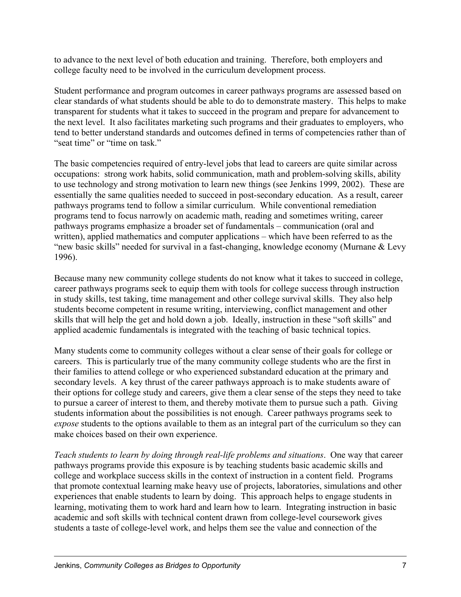to advance to the next level of both education and training. Therefore, both employers and college faculty need to be involved in the curriculum development process.

Student performance and program outcomes in career pathways programs are assessed based on clear standards of what students should be able to do to demonstrate mastery. This helps to make transparent for students what it takes to succeed in the program and prepare for advancement to the next level. It also facilitates marketing such programs and their graduates to employers, who tend to better understand standards and outcomes defined in terms of competencies rather than of "seat time" or "time on task."

The basic competencies required of entry-level jobs that lead to careers are quite similar across occupations: strong work habits, solid communication, math and problem-solving skills, ability to use technology and strong motivation to learn new things (see Jenkins 1999, 2002). These are essentially the same qualities needed to succeed in post-secondary education. As a result, career pathways programs tend to follow a similar curriculum. While conventional remediation programs tend to focus narrowly on academic math, reading and sometimes writing, career pathways programs emphasize a broader set of fundamentals – communication (oral and written), applied mathematics and computer applications – which have been referred to as the "new basic skills" needed for survival in a fast-changing, knowledge economy (Murnane & Levy 1996).

Because many new community college students do not know what it takes to succeed in college, career pathways programs seek to equip them with tools for college success through instruction in study skills, test taking, time management and other college survival skills. They also help students become competent in resume writing, interviewing, conflict management and other skills that will help the get and hold down a job. Ideally, instruction in these "soft skills" and applied academic fundamentals is integrated with the teaching of basic technical topics.

Many students come to community colleges without a clear sense of their goals for college or careers. This is particularly true of the many community college students who are the first in their families to attend college or who experienced substandard education at the primary and secondary levels. A key thrust of the career pathways approach is to make students aware of their options for college study and careers, give them a clear sense of the steps they need to take to pursue a career of interest to them, and thereby motivate them to pursue such a path. Giving students information about the possibilities is not enough. Career pathways programs seek to *expose* students to the options available to them as an integral part of the curriculum so they can make choices based on their own experience.

*Teach students to learn by doing through real-life problems and situations*. One way that career pathways programs provide this exposure is by teaching students basic academic skills and college and workplace success skills in the context of instruction in a content field. Programs that promote contextual learning make heavy use of projects, laboratories, simulations and other experiences that enable students to learn by doing. This approach helps to engage students in learning, motivating them to work hard and learn how to learn. Integrating instruction in basic academic and soft skills with technical content drawn from college-level coursework gives students a taste of college-level work, and helps them see the value and connection of the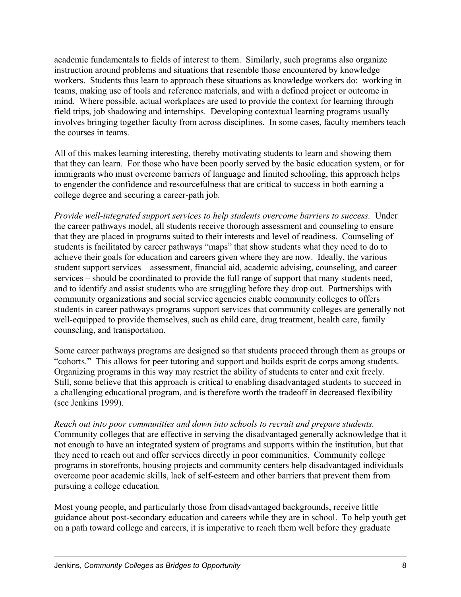academic fundamentals to fields of interest to them. Similarly, such programs also organize instruction around problems and situations that resemble those encountered by knowledge workers. Students thus learn to approach these situations as knowledge workers do: working in teams, making use of tools and reference materials, and with a defined project or outcome in mind. Where possible, actual workplaces are used to provide the context for learning through field trips, job shadowing and internships. Developing contextual learning programs usually involves bringing together faculty from across disciplines. In some cases, faculty members teach the courses in teams.

All of this makes learning interesting, thereby motivating students to learn and showing them that they can learn. For those who have been poorly served by the basic education system, or for immigrants who must overcome barriers of language and limited schooling, this approach helps to engender the confidence and resourcefulness that are critical to success in both earning a college degree and securing a career-path job.

*Provide well-integrated support services to help students overcome barriers to success.* Under the career pathways model, all students receive thorough assessment and counseling to ensure that they are placed in programs suited to their interests and level of readiness. Counseling of students is facilitated by career pathways "maps" that show students what they need to do to achieve their goals for education and careers given where they are now. Ideally, the various student support services – assessment, financial aid, academic advising, counseling, and career services – should be coordinated to provide the full range of support that many students need, and to identify and assist students who are struggling before they drop out. Partnerships with community organizations and social service agencies enable community colleges to offers students in career pathways programs support services that community colleges are generally not well-equipped to provide themselves, such as child care, drug treatment, health care, family counseling, and transportation.

Some career pathways programs are designed so that students proceed through them as groups or "cohorts." This allows for peer tutoring and support and builds esprit de corps among students. Organizing programs in this way may restrict the ability of students to enter and exit freely. Still, some believe that this approach is critical to enabling disadvantaged students to succeed in a challenging educational program, and is therefore worth the tradeoff in decreased flexibility (see Jenkins 1999).

*Reach out into poor communities and down into schools to recruit and prepare students.* Community colleges that are effective in serving the disadvantaged generally acknowledge that it not enough to have an integrated system of programs and supports within the institution, but that they need to reach out and offer services directly in poor communities. Community college programs in storefronts, housing projects and community centers help disadvantaged individuals overcome poor academic skills, lack of self-esteem and other barriers that prevent them from pursuing a college education.

Most young people, and particularly those from disadvantaged backgrounds, receive little guidance about post-secondary education and careers while they are in school. To help youth get on a path toward college and careers, it is imperative to reach them well before they graduate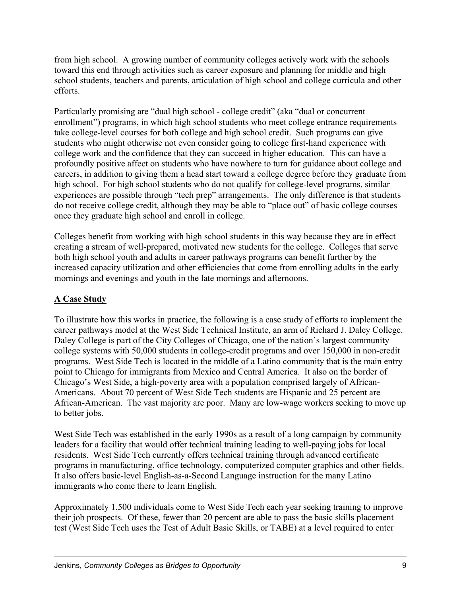from high school. A growing number of community colleges actively work with the schools toward this end through activities such as career exposure and planning for middle and high school students, teachers and parents, articulation of high school and college curricula and other efforts.

Particularly promising are "dual high school - college credit" (aka "dual or concurrent enrollment") programs, in which high school students who meet college entrance requirements take college-level courses for both college and high school credit. Such programs can give students who might otherwise not even consider going to college first-hand experience with college work and the confidence that they can succeed in higher education. This can have a profoundly positive affect on students who have nowhere to turn for guidance about college and careers, in addition to giving them a head start toward a college degree before they graduate from high school. For high school students who do not qualify for college-level programs, similar experiences are possible through "tech prep" arrangements. The only difference is that students do not receive college credit, although they may be able to "place out" of basic college courses once they graduate high school and enroll in college.

Colleges benefit from working with high school students in this way because they are in effect creating a stream of well-prepared, motivated new students for the college. Colleges that serve both high school youth and adults in career pathways programs can benefit further by the increased capacity utilization and other efficiencies that come from enrolling adults in the early mornings and evenings and youth in the late mornings and afternoons.

### **A Case Study**

To illustrate how this works in practice, the following is a case study of efforts to implement the career pathways model at the West Side Technical Institute, an arm of Richard J. Daley College. Daley College is part of the City Colleges of Chicago, one of the nation's largest community college systems with 50,000 students in college-credit programs and over 150,000 in non-credit programs. West Side Tech is located in the middle of a Latino community that is the main entry point to Chicago for immigrants from Mexico and Central America. It also on the border of Chicago's West Side, a high-poverty area with a population comprised largely of African-Americans. About 70 percent of West Side Tech students are Hispanic and 25 percent are African-American. The vast majority are poor. Many are low-wage workers seeking to move up to better jobs.

West Side Tech was established in the early 1990s as a result of a long campaign by community leaders for a facility that would offer technical training leading to well-paying jobs for local residents. West Side Tech currently offers technical training through advanced certificate programs in manufacturing, office technology, computerized computer graphics and other fields. It also offers basic-level English-as-a-Second Language instruction for the many Latino immigrants who come there to learn English.

Approximately 1,500 individuals come to West Side Tech each year seeking training to improve their job prospects. Of these, fewer than 20 percent are able to pass the basic skills placement test (West Side Tech uses the Test of Adult Basic Skills, or TABE) at a level required to enter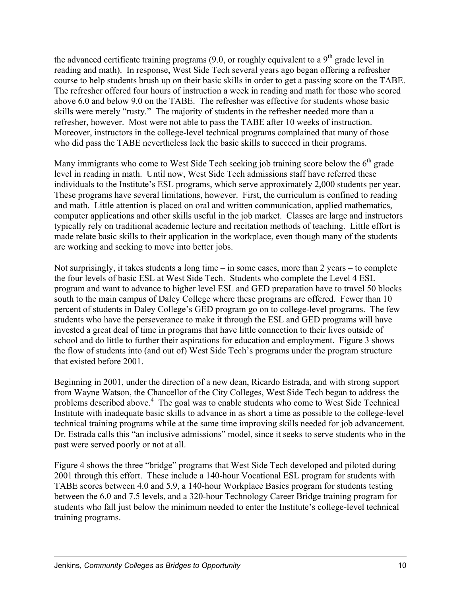the advanced certificate training programs  $(9.0, \text{ or roughly equivalent to a } 9^{\text{th}})$  grade level in reading and math). In response, West Side Tech several years ago began offering a refresher course to help students brush up on their basic skills in order to get a passing score on the TABE. The refresher offered four hours of instruction a week in reading and math for those who scored above 6.0 and below 9.0 on the TABE. The refresher was effective for students whose basic skills were merely "rusty." The majority of students in the refresher needed more than a refresher, however. Most were not able to pass the TABE after 10 weeks of instruction. Moreover, instructors in the college-level technical programs complained that many of those who did pass the TABE nevertheless lack the basic skills to succeed in their programs.

Many immigrants who come to West Side Tech seeking job training score below the  $6<sup>th</sup>$  grade level in reading in math. Until now, West Side Tech admissions staff have referred these individuals to the Institute's ESL programs, which serve approximately 2,000 students per year. These programs have several limitations, however. First, the curriculum is confined to reading and math. Little attention is placed on oral and written communication, applied mathematics, computer applications and other skills useful in the job market. Classes are large and instructors typically rely on traditional academic lecture and recitation methods of teaching. Little effort is made relate basic skills to their application in the workplace, even though many of the students are working and seeking to move into better jobs.

Not surprisingly, it takes students a long time – in some cases, more than 2 years – to complete the four levels of basic ESL at West Side Tech. Students who complete the Level 4 ESL program and want to advance to higher level ESL and GED preparation have to travel 50 blocks south to the main campus of Daley College where these programs are offered. Fewer than 10 percent of students in Daley College's GED program go on to college-level programs. The few students who have the perseverance to make it through the ESL and GED programs will have invested a great deal of time in programs that have little connection to their lives outside of school and do little to further their aspirations for education and employment. Figure 3 shows the flow of students into (and out of) West Side Tech's programs under the program structure that existed before 2001.

Beginning in 2001, under the direction of a new dean, Ricardo Estrada, and with strong support from Wayne Watson, the Chancellor of the City Colleges, West Side Tech began to address the problems described above.<sup>4</sup> The goal was to enable students who come to West Side Technical Institute with inadequate basic skills to advance in as short a time as possible to the college-level technical training programs while at the same time improving skills needed for job advancement. Dr. Estrada calls this "an inclusive admissions" model, since it seeks to serve students who in the past were served poorly or not at all.

Figure 4 shows the three "bridge" programs that West Side Tech developed and piloted during 2001 through this effort. These include a 140-hour Vocational ESL program for students with TABE scores between 4.0 and 5.9, a 140-hour Workplace Basics program for students testing between the 6.0 and 7.5 levels, and a 320-hour Technology Career Bridge training program for students who fall just below the minimum needed to enter the Institute's college-level technical training programs.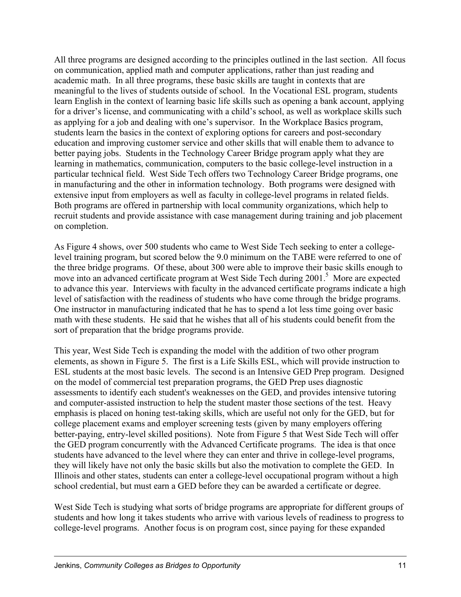All three programs are designed according to the principles outlined in the last section. All focus on communication, applied math and computer applications, rather than just reading and academic math. In all three programs, these basic skills are taught in contexts that are meaningful to the lives of students outside of school. In the Vocational ESL program, students learn English in the context of learning basic life skills such as opening a bank account, applying for a driver's license, and communicating with a child's school, as well as workplace skills such as applying for a job and dealing with one's supervisor. In the Workplace Basics program, students learn the basics in the context of exploring options for careers and post-secondary education and improving customer service and other skills that will enable them to advance to better paying jobs. Students in the Technology Career Bridge program apply what they are learning in mathematics, communication, computers to the basic college-level instruction in a particular technical field. West Side Tech offers two Technology Career Bridge programs, one in manufacturing and the other in information technology. Both programs were designed with extensive input from employers as well as faculty in college-level programs in related fields. Both programs are offered in partnership with local community organizations, which help to recruit students and provide assistance with case management during training and job placement on completion.

As Figure 4 shows, over 500 students who came to West Side Tech seeking to enter a collegelevel training program, but scored below the 9.0 minimum on the TABE were referred to one of the three bridge programs. Of these, about 300 were able to improve their basic skills enough to move into an advanced certificate program at West Side Tech during 2001.<sup>5</sup> More are expected to advance this year. Interviews with faculty in the advanced certificate programs indicate a high level of satisfaction with the readiness of students who have come through the bridge programs. One instructor in manufacturing indicated that he has to spend a lot less time going over basic math with these students. He said that he wishes that all of his students could benefit from the sort of preparation that the bridge programs provide.

This year, West Side Tech is expanding the model with the addition of two other program elements, as shown in Figure 5. The first is a Life Skills ESL, which will provide instruction to ESL students at the most basic levels. The second is an Intensive GED Prep program. Designed on the model of commercial test preparation programs, the GED Prep uses diagnostic assessments to identify each student's weaknesses on the GED, and provides intensive tutoring and computer-assisted instruction to help the student master those sections of the test. Heavy emphasis is placed on honing test-taking skills, which are useful not only for the GED, but for college placement exams and employer screening tests (given by many employers offering better-paying, entry-level skilled positions). Note from Figure 5 that West Side Tech will offer the GED program concurrently with the Advanced Certificate programs. The idea is that once students have advanced to the level where they can enter and thrive in college-level programs, they will likely have not only the basic skills but also the motivation to complete the GED. In Illinois and other states, students can enter a college-level occupational program without a high school credential, but must earn a GED before they can be awarded a certificate or degree.

West Side Tech is studying what sorts of bridge programs are appropriate for different groups of students and how long it takes students who arrive with various levels of readiness to progress to college-level programs. Another focus is on program cost, since paying for these expanded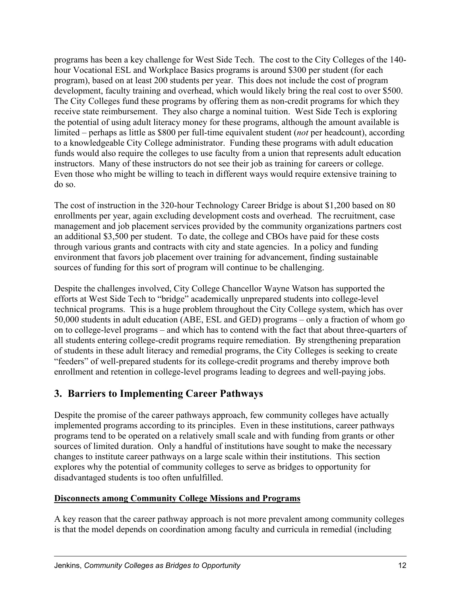programs has been a key challenge for West Side Tech. The cost to the City Colleges of the 140 hour Vocational ESL and Workplace Basics programs is around \$300 per student (for each program), based on at least 200 students per year. This does not include the cost of program development, faculty training and overhead, which would likely bring the real cost to over \$500. The City Colleges fund these programs by offering them as non-credit programs for which they receive state reimbursement. They also charge a nominal tuition. West Side Tech is exploring the potential of using adult literacy money for these programs, although the amount available is limited – perhaps as little as \$800 per full-time equivalent student (*not* per headcount), according to a knowledgeable City College administrator. Funding these programs with adult education funds would also require the colleges to use faculty from a union that represents adult education instructors. Many of these instructors do not see their job as training for careers or college. Even those who might be willing to teach in different ways would require extensive training to do so.

The cost of instruction in the 320-hour Technology Career Bridge is about \$1,200 based on 80 enrollments per year, again excluding development costs and overhead. The recruitment, case management and job placement services provided by the community organizations partners cost an additional \$3,500 per student. To date, the college and CBOs have paid for these costs through various grants and contracts with city and state agencies. In a policy and funding environment that favors job placement over training for advancement, finding sustainable sources of funding for this sort of program will continue to be challenging.

Despite the challenges involved, City College Chancellor Wayne Watson has supported the efforts at West Side Tech to "bridge" academically unprepared students into college-level technical programs. This is a huge problem throughout the City College system, which has over 50,000 students in adult education (ABE, ESL and GED) programs – only a fraction of whom go on to college-level programs – and which has to contend with the fact that about three-quarters of all students entering college-credit programs require remediation. By strengthening preparation of students in these adult literacy and remedial programs, the City Colleges is seeking to create "feeders" of well-prepared students for its college-credit programs and thereby improve both enrollment and retention in college-level programs leading to degrees and well-paying jobs.

# **3. Barriers to Implementing Career Pathways**

Despite the promise of the career pathways approach, few community colleges have actually implemented programs according to its principles. Even in these institutions, career pathways programs tend to be operated on a relatively small scale and with funding from grants or other sources of limited duration. Only a handful of institutions have sought to make the necessary changes to institute career pathways on a large scale within their institutions. This section explores why the potential of community colleges to serve as bridges to opportunity for disadvantaged students is too often unfulfilled.

#### **Disconnects among Community College Missions and Programs**

A key reason that the career pathway approach is not more prevalent among community colleges is that the model depends on coordination among faculty and curricula in remedial (including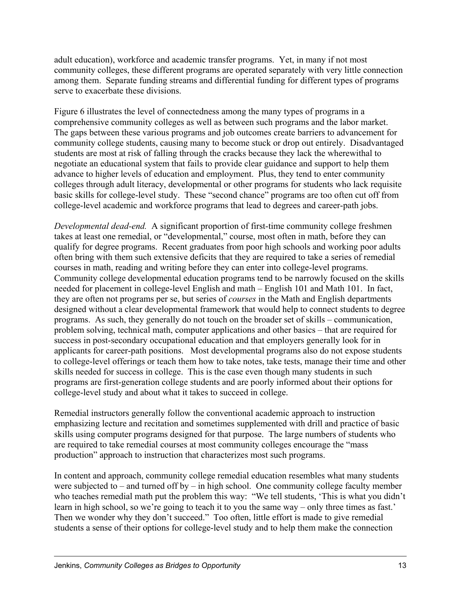adult education), workforce and academic transfer programs. Yet, in many if not most community colleges, these different programs are operated separately with very little connection among them. Separate funding streams and differential funding for different types of programs serve to exacerbate these divisions.

Figure 6 illustrates the level of connectedness among the many types of programs in a comprehensive community colleges as well as between such programs and the labor market. The gaps between these various programs and job outcomes create barriers to advancement for community college students, causing many to become stuck or drop out entirely. Disadvantaged students are most at risk of falling through the cracks because they lack the wherewithal to negotiate an educational system that fails to provide clear guidance and support to help them advance to higher levels of education and employment. Plus, they tend to enter community colleges through adult literacy, developmental or other programs for students who lack requisite basic skills for college-level study. These "second chance" programs are too often cut off from college-level academic and workforce programs that lead to degrees and career-path jobs.

*Developmental dead-end.* A significant proportion of first-time community college freshmen takes at least one remedial, or "developmental," course, most often in math, before they can qualify for degree programs. Recent graduates from poor high schools and working poor adults often bring with them such extensive deficits that they are required to take a series of remedial courses in math, reading and writing before they can enter into college-level programs. Community college developmental education programs tend to be narrowly focused on the skills needed for placement in college-level English and math – English 101 and Math 101. In fact, they are often not programs per se, but series of *courses* in the Math and English departments designed without a clear developmental framework that would help to connect students to degree programs. As such, they generally do not touch on the broader set of skills – communication, problem solving, technical math, computer applications and other basics – that are required for success in post-secondary occupational education and that employers generally look for in applicants for career-path positions. Most developmental programs also do not expose students to college-level offerings or teach them how to take notes, take tests, manage their time and other skills needed for success in college. This is the case even though many students in such programs are first-generation college students and are poorly informed about their options for college-level study and about what it takes to succeed in college.

Remedial instructors generally follow the conventional academic approach to instruction emphasizing lecture and recitation and sometimes supplemented with drill and practice of basic skills using computer programs designed for that purpose. The large numbers of students who are required to take remedial courses at most community colleges encourage the "mass production" approach to instruction that characterizes most such programs.

In content and approach, community college remedial education resembles what many students were subjected to – and turned off by – in high school. One community college faculty member who teaches remedial math put the problem this way: "We tell students, 'This is what you didn't learn in high school, so we're going to teach it to you the same way – only three times as fast.' Then we wonder why they don't succeed." Too often, little effort is made to give remedial students a sense of their options for college-level study and to help them make the connection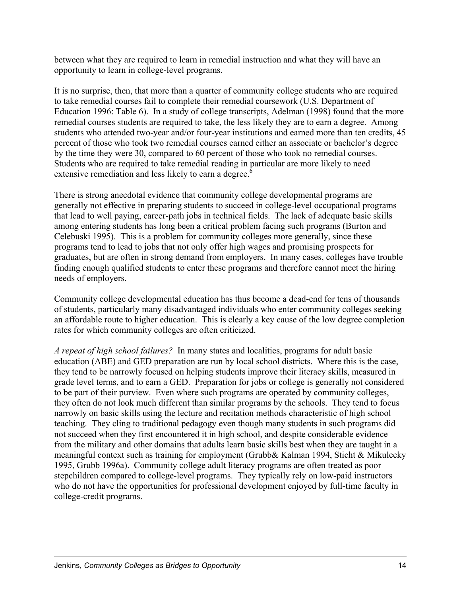between what they are required to learn in remedial instruction and what they will have an opportunity to learn in college-level programs.

It is no surprise, then, that more than a quarter of community college students who are required to take remedial courses fail to complete their remedial coursework (U.S. Department of Education 1996: Table 6). In a study of college transcripts, Adelman (1998) found that the more remedial courses students are required to take, the less likely they are to earn a degree. Among students who attended two-year and/or four-year institutions and earned more than ten credits, 45 percent of those who took two remedial courses earned either an associate or bachelor's degree by the time they were 30, compared to 60 percent of those who took no remedial courses. Students who are required to take remedial reading in particular are more likely to need extensive remediation and less likely to earn a degree.<sup>6</sup>

There is strong anecdotal evidence that community college developmental programs are generally not effective in preparing students to succeed in college-level occupational programs that lead to well paying, career-path jobs in technical fields. The lack of adequate basic skills among entering students has long been a critical problem facing such programs (Burton and Celebuski 1995). This is a problem for community colleges more generally, since these programs tend to lead to jobs that not only offer high wages and promising prospects for graduates, but are often in strong demand from employers. In many cases, colleges have trouble finding enough qualified students to enter these programs and therefore cannot meet the hiring needs of employers.

Community college developmental education has thus become a dead-end for tens of thousands of students, particularly many disadvantaged individuals who enter community colleges seeking an affordable route to higher education. This is clearly a key cause of the low degree completion rates for which community colleges are often criticized.

*A repeat of high school failures?* In many states and localities, programs for adult basic education (ABE) and GED preparation are run by local school districts. Where this is the case, they tend to be narrowly focused on helping students improve their literacy skills, measured in grade level terms, and to earn a GED. Preparation for jobs or college is generally not considered to be part of their purview. Even where such programs are operated by community colleges, they often do not look much different than similar programs by the schools. They tend to focus narrowly on basic skills using the lecture and recitation methods characteristic of high school teaching. They cling to traditional pedagogy even though many students in such programs did not succeed when they first encountered it in high school, and despite considerable evidence from the military and other domains that adults learn basic skills best when they are taught in a meaningful context such as training for employment (Grubb& Kalman 1994, Sticht & Mikulecky 1995, Grubb 1996a). Community college adult literacy programs are often treated as poor stepchildren compared to college-level programs. They typically rely on low-paid instructors who do not have the opportunities for professional development enjoyed by full-time faculty in college-credit programs.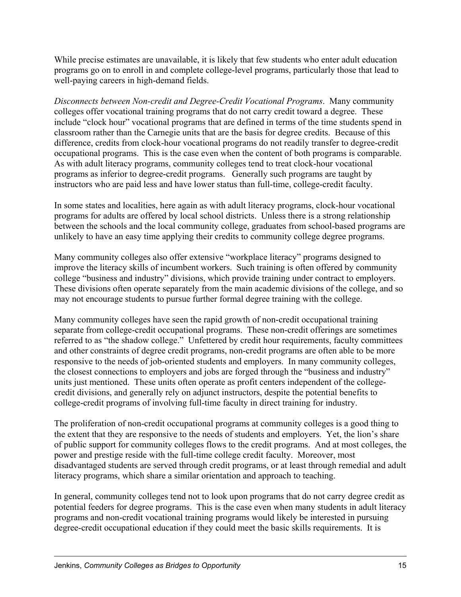While precise estimates are unavailable, it is likely that few students who enter adult education programs go on to enroll in and complete college-level programs, particularly those that lead to well-paying careers in high-demand fields.

*Disconnects between Non-credit and Degree-Credit Vocational Programs*. Many community colleges offer vocational training programs that do not carry credit toward a degree. These include "clock hour" vocational programs that are defined in terms of the time students spend in classroom rather than the Carnegie units that are the basis for degree credits. Because of this difference, credits from clock-hour vocational programs do not readily transfer to degree-credit occupational programs. This is the case even when the content of both programs is comparable. As with adult literacy programs, community colleges tend to treat clock-hour vocational programs as inferior to degree-credit programs. Generally such programs are taught by instructors who are paid less and have lower status than full-time, college-credit faculty.

In some states and localities, here again as with adult literacy programs, clock-hour vocational programs for adults are offered by local school districts. Unless there is a strong relationship between the schools and the local community college, graduates from school-based programs are unlikely to have an easy time applying their credits to community college degree programs.

Many community colleges also offer extensive "workplace literacy" programs designed to improve the literacy skills of incumbent workers. Such training is often offered by community college "business and industry" divisions, which provide training under contract to employers. These divisions often operate separately from the main academic divisions of the college, and so may not encourage students to pursue further formal degree training with the college.

Many community colleges have seen the rapid growth of non-credit occupational training separate from college-credit occupational programs. These non-credit offerings are sometimes referred to as "the shadow college." Unfettered by credit hour requirements, faculty committees and other constraints of degree credit programs, non-credit programs are often able to be more responsive to the needs of job-oriented students and employers. In many community colleges, the closest connections to employers and jobs are forged through the "business and industry" units just mentioned. These units often operate as profit centers independent of the collegecredit divisions, and generally rely on adjunct instructors, despite the potential benefits to college-credit programs of involving full-time faculty in direct training for industry.

The proliferation of non-credit occupational programs at community colleges is a good thing to the extent that they are responsive to the needs of students and employers. Yet, the lion's share of public support for community colleges flows to the credit programs. And at most colleges, the power and prestige reside with the full-time college credit faculty. Moreover, most disadvantaged students are served through credit programs, or at least through remedial and adult literacy programs, which share a similar orientation and approach to teaching.

In general, community colleges tend not to look upon programs that do not carry degree credit as potential feeders for degree programs. This is the case even when many students in adult literacy programs and non-credit vocational training programs would likely be interested in pursuing degree-credit occupational education if they could meet the basic skills requirements. It is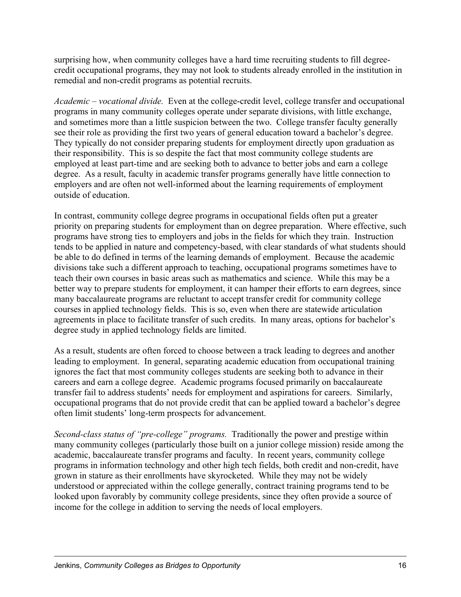surprising how, when community colleges have a hard time recruiting students to fill degreecredit occupational programs, they may not look to students already enrolled in the institution in remedial and non-credit programs as potential recruits.

*Academic – vocational divide.* Even at the college-credit level, college transfer and occupational programs in many community colleges operate under separate divisions, with little exchange, and sometimes more than a little suspicion between the two. College transfer faculty generally see their role as providing the first two years of general education toward a bachelor's degree. They typically do not consider preparing students for employment directly upon graduation as their responsibility. This is so despite the fact that most community college students are employed at least part-time and are seeking both to advance to better jobs and earn a college degree. As a result, faculty in academic transfer programs generally have little connection to employers and are often not well-informed about the learning requirements of employment outside of education.

In contrast, community college degree programs in occupational fields often put a greater priority on preparing students for employment than on degree preparation. Where effective, such programs have strong ties to employers and jobs in the fields for which they train. Instruction tends to be applied in nature and competency-based, with clear standards of what students should be able to do defined in terms of the learning demands of employment. Because the academic divisions take such a different approach to teaching, occupational programs sometimes have to teach their own courses in basic areas such as mathematics and science. While this may be a better way to prepare students for employment, it can hamper their efforts to earn degrees, since many baccalaureate programs are reluctant to accept transfer credit for community college courses in applied technology fields. This is so, even when there are statewide articulation agreements in place to facilitate transfer of such credits. In many areas, options for bachelor's degree study in applied technology fields are limited.

As a result, students are often forced to choose between a track leading to degrees and another leading to employment. In general, separating academic education from occupational training ignores the fact that most community colleges students are seeking both to advance in their careers and earn a college degree. Academic programs focused primarily on baccalaureate transfer fail to address students' needs for employment and aspirations for careers. Similarly, occupational programs that do not provide credit that can be applied toward a bachelor's degree often limit students' long-term prospects for advancement.

*Second-class status of "pre-college" programs.* Traditionally the power and prestige within many community colleges (particularly those built on a junior college mission) reside among the academic, baccalaureate transfer programs and faculty. In recent years, community college programs in information technology and other high tech fields, both credit and non-credit, have grown in stature as their enrollments have skyrocketed. While they may not be widely understood or appreciated within the college generally, contract training programs tend to be looked upon favorably by community college presidents, since they often provide a source of income for the college in addition to serving the needs of local employers.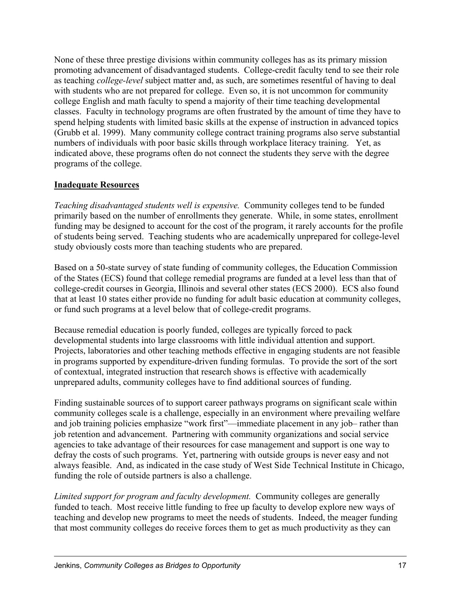None of these three prestige divisions within community colleges has as its primary mission promoting advancement of disadvantaged students. College-credit faculty tend to see their role as teaching *college-level* subject matter and, as such, are sometimes resentful of having to deal with students who are not prepared for college. Even so, it is not uncommon for community college English and math faculty to spend a majority of their time teaching developmental classes. Faculty in technology programs are often frustrated by the amount of time they have to spend helping students with limited basic skills at the expense of instruction in advanced topics (Grubb et al. 1999). Many community college contract training programs also serve substantial numbers of individuals with poor basic skills through workplace literacy training. Yet, as indicated above, these programs often do not connect the students they serve with the degree programs of the college.

#### **Inadequate Resources**

*Teaching disadvantaged students well is expensive.* Community colleges tend to be funded primarily based on the number of enrollments they generate. While, in some states, enrollment funding may be designed to account for the cost of the program, it rarely accounts for the profile of students being served. Teaching students who are academically unprepared for college-level study obviously costs more than teaching students who are prepared.

Based on a 50-state survey of state funding of community colleges, the Education Commission of the States (ECS) found that college remedial programs are funded at a level less than that of college-credit courses in Georgia, Illinois and several other states (ECS 2000). ECS also found that at least 10 states either provide no funding for adult basic education at community colleges, or fund such programs at a level below that of college-credit programs.

Because remedial education is poorly funded, colleges are typically forced to pack developmental students into large classrooms with little individual attention and support. Projects, laboratories and other teaching methods effective in engaging students are not feasible in programs supported by expenditure-driven funding formulas. To provide the sort of the sort of contextual, integrated instruction that research shows is effective with academically unprepared adults, community colleges have to find additional sources of funding.

Finding sustainable sources of to support career pathways programs on significant scale within community colleges scale is a challenge, especially in an environment where prevailing welfare and job training policies emphasize "work first"—immediate placement in any job– rather than job retention and advancement. Partnering with community organizations and social service agencies to take advantage of their resources for case management and support is one way to defray the costs of such programs. Yet, partnering with outside groups is never easy and not always feasible. And, as indicated in the case study of West Side Technical Institute in Chicago, funding the role of outside partners is also a challenge.

*Limited support for program and faculty development.* Community colleges are generally funded to teach. Most receive little funding to free up faculty to develop explore new ways of teaching and develop new programs to meet the needs of students. Indeed, the meager funding that most community colleges do receive forces them to get as much productivity as they can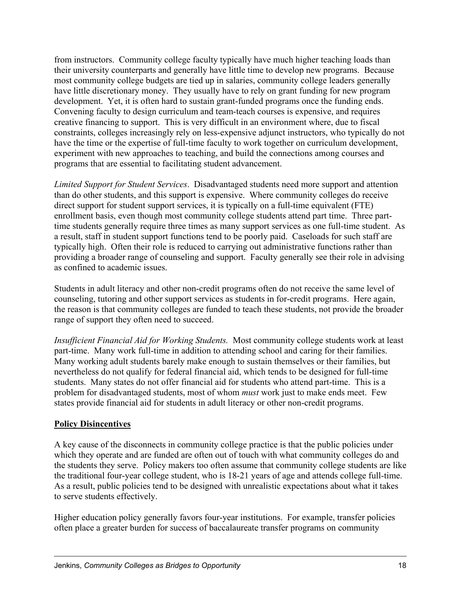from instructors. Community college faculty typically have much higher teaching loads than their university counterparts and generally have little time to develop new programs. Because most community college budgets are tied up in salaries, community college leaders generally have little discretionary money. They usually have to rely on grant funding for new program development. Yet, it is often hard to sustain grant-funded programs once the funding ends. Convening faculty to design curriculum and team-teach courses is expensive, and requires creative financing to support. This is very difficult in an environment where, due to fiscal constraints, colleges increasingly rely on less-expensive adjunct instructors, who typically do not have the time or the expertise of full-time faculty to work together on curriculum development, experiment with new approaches to teaching, and build the connections among courses and programs that are essential to facilitating student advancement.

*Limited Support for Student Services*. Disadvantaged students need more support and attention than do other students, and this support is expensive. Where community colleges do receive direct support for student support services, it is typically on a full-time equivalent (FTE) enrollment basis, even though most community college students attend part time. Three parttime students generally require three times as many support services as one full-time student. As a result, staff in student support functions tend to be poorly paid. Caseloads for such staff are typically high. Often their role is reduced to carrying out administrative functions rather than providing a broader range of counseling and support. Faculty generally see their role in advising as confined to academic issues.

Students in adult literacy and other non-credit programs often do not receive the same level of counseling, tutoring and other support services as students in for-credit programs. Here again, the reason is that community colleges are funded to teach these students, not provide the broader range of support they often need to succeed.

*Insufficient Financial Aid for Working Students.* Most community college students work at least part-time. Many work full-time in addition to attending school and caring for their families. Many working adult students barely make enough to sustain themselves or their families, but nevertheless do not qualify for federal financial aid, which tends to be designed for full-time students. Many states do not offer financial aid for students who attend part-time. This is a problem for disadvantaged students, most of whom *must* work just to make ends meet. Few states provide financial aid for students in adult literacy or other non-credit programs.

#### **Policy Disincentives**

A key cause of the disconnects in community college practice is that the public policies under which they operate and are funded are often out of touch with what community colleges do and the students they serve. Policy makers too often assume that community college students are like the traditional four-year college student, who is 18-21 years of age and attends college full-time. As a result, public policies tend to be designed with unrealistic expectations about what it takes to serve students effectively.

Higher education policy generally favors four-year institutions. For example, transfer policies often place a greater burden for success of baccalaureate transfer programs on community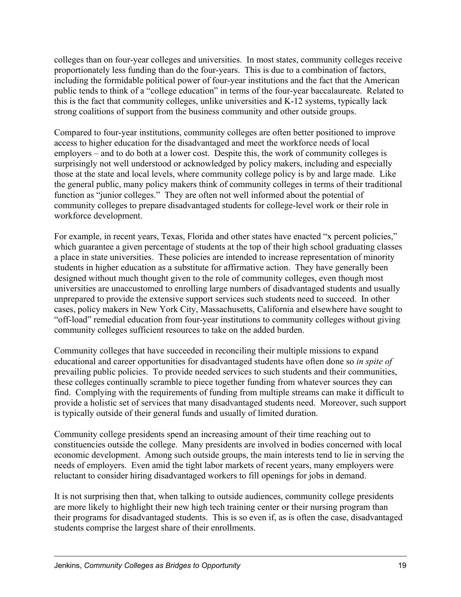colleges than on four-year colleges and universities. In most states, community colleges receive proportionately less funding than do the four-years. This is due to a combination of factors, including the formidable political power of four-year institutions and the fact that the American public tends to think of a "college education" in terms of the four-year baccalaureate. Related to this is the fact that community colleges, unlike universities and K-12 systems, typically lack strong coalitions of support from the business community and other outside groups.

Compared to four-year institutions, community colleges are often better positioned to improve access to higher education for the disadvantaged and meet the workforce needs of local employers – and to do both at a lower cost. Despite this, the work of community colleges is surprisingly not well understood or acknowledged by policy makers, including and especially those at the state and local levels, where community college policy is by and large made. Like the general public, many policy makers think of community colleges in terms of their traditional function as "junior colleges." They are often not well informed about the potential of community colleges to prepare disadvantaged students for college-level work or their role in workforce development.

For example, in recent years, Texas, Florida and other states have enacted "x percent policies," which guarantee a given percentage of students at the top of their high school graduating classes a place in state universities. These policies are intended to increase representation of minority students in higher education as a substitute for affirmative action. They have generally been designed without much thought given to the role of community colleges, even though most universities are unaccustomed to enrolling large numbers of disadvantaged students and usually unprepared to provide the extensive support services such students need to succeed. In other cases, policy makers in New York City, Massachusetts, California and elsewhere have sought to "off-load" remedial education from four-year institutions to community colleges without giving community colleges sufficient resources to take on the added burden.

Community colleges that have succeeded in reconciling their multiple missions to expand educational and career opportunities for disadvantaged students have often done so *in spite of* prevailing public policies. To provide needed services to such students and their communities, these colleges continually scramble to piece together funding from whatever sources they can find. Complying with the requirements of funding from multiple streams can make it difficult to provide a holistic set of services that many disadvantaged students need. Moreover, such support is typically outside of their general funds and usually of limited duration.

Community college presidents spend an increasing amount of their time reaching out to constituencies outside the college. Many presidents are involved in bodies concerned with local economic development. Among such outside groups, the main interests tend to lie in serving the needs of employers. Even amid the tight labor markets of recent years, many employers were reluctant to consider hiring disadvantaged workers to fill openings for jobs in demand.

It is not surprising then that, when talking to outside audiences, community college presidents are more likely to highlight their new high tech training center or their nursing program than their programs for disadvantaged students. This is so even if, as is often the case, disadvantaged students comprise the largest share of their enrollments.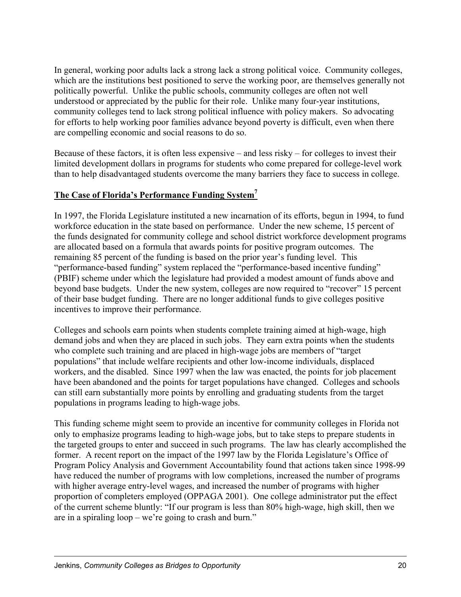In general, working poor adults lack a strong lack a strong political voice. Community colleges, which are the institutions best positioned to serve the working poor, are themselves generally not politically powerful. Unlike the public schools, community colleges are often not well understood or appreciated by the public for their role. Unlike many four-year institutions, community colleges tend to lack strong political influence with policy makers. So advocating for efforts to help working poor families advance beyond poverty is difficult, even when there are compelling economic and social reasons to do so.

Because of these factors, it is often less expensive – and less risky – for colleges to invest their limited development dollars in programs for students who come prepared for college-level work than to help disadvantaged students overcome the many barriers they face to success in college.

### **The Case of Florida's Performance Funding System7**

In 1997, the Florida Legislature instituted a new incarnation of its efforts, begun in 1994, to fund workforce education in the state based on performance. Under the new scheme, 15 percent of the funds designated for community college and school district workforce development programs are allocated based on a formula that awards points for positive program outcomes. The remaining 85 percent of the funding is based on the prior year's funding level. This "performance-based funding" system replaced the "performance-based incentive funding" (PBIF) scheme under which the legislature had provided a modest amount of funds above and beyond base budgets. Under the new system, colleges are now required to "recover" 15 percent of their base budget funding. There are no longer additional funds to give colleges positive incentives to improve their performance.

Colleges and schools earn points when students complete training aimed at high-wage, high demand jobs and when they are placed in such jobs. They earn extra points when the students who complete such training and are placed in high-wage jobs are members of "target populations" that include welfare recipients and other low-income individuals, displaced workers, and the disabled. Since 1997 when the law was enacted, the points for job placement have been abandoned and the points for target populations have changed. Colleges and schools can still earn substantially more points by enrolling and graduating students from the target populations in programs leading to high-wage jobs.

This funding scheme might seem to provide an incentive for community colleges in Florida not only to emphasize programs leading to high-wage jobs, but to take steps to prepare students in the targeted groups to enter and succeed in such programs. The law has clearly accomplished the former. A recent report on the impact of the 1997 law by the Florida Legislature's Office of Program Policy Analysis and Government Accountability found that actions taken since 1998-99 have reduced the number of programs with low completions, increased the number of programs with higher average entry-level wages, and increased the number of programs with higher proportion of completers employed (OPPAGA 2001). One college administrator put the effect of the current scheme bluntly: "If our program is less than 80% high-wage, high skill, then we are in a spiraling loop – we're going to crash and burn."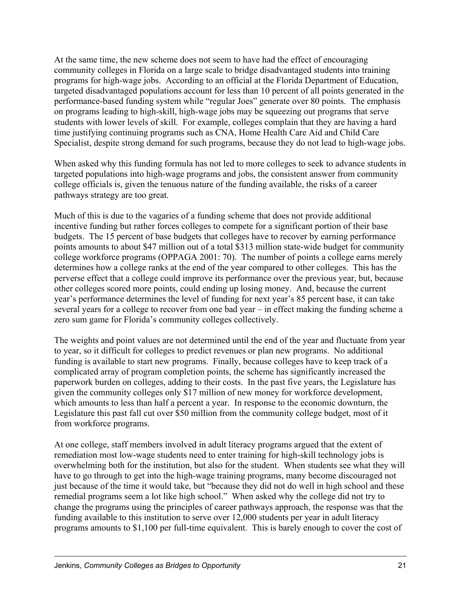At the same time, the new scheme does not seem to have had the effect of encouraging community colleges in Florida on a large scale to bridge disadvantaged students into training programs for high-wage jobs. According to an official at the Florida Department of Education, targeted disadvantaged populations account for less than 10 percent of all points generated in the performance-based funding system while "regular Joes" generate over 80 points. The emphasis on programs leading to high-skill, high-wage jobs may be squeezing out programs that serve students with lower levels of skill. For example, colleges complain that they are having a hard time justifying continuing programs such as CNA, Home Health Care Aid and Child Care Specialist, despite strong demand for such programs, because they do not lead to high-wage jobs.

When asked why this funding formula has not led to more colleges to seek to advance students in targeted populations into high-wage programs and jobs, the consistent answer from community college officials is, given the tenuous nature of the funding available, the risks of a career pathways strategy are too great.

Much of this is due to the vagaries of a funding scheme that does not provide additional incentive funding but rather forces colleges to compete for a significant portion of their base budgets. The 15 percent of base budgets that colleges have to recover by earning performance points amounts to about \$47 million out of a total \$313 million state-wide budget for community college workforce programs (OPPAGA 2001: 70). The number of points a college earns merely determines how a college ranks at the end of the year compared to other colleges. This has the perverse effect that a college could improve its performance over the previous year, but, because other colleges scored more points, could ending up losing money. And, because the current year's performance determines the level of funding for next year's 85 percent base, it can take several years for a college to recover from one bad year – in effect making the funding scheme a zero sum game for Florida's community colleges collectively.

The weights and point values are not determined until the end of the year and fluctuate from year to year, so it difficult for colleges to predict revenues or plan new programs. No additional funding is available to start new programs. Finally, because colleges have to keep track of a complicated array of program completion points, the scheme has significantly increased the paperwork burden on colleges, adding to their costs. In the past five years, the Legislature has given the community colleges only \$17 million of new money for workforce development, which amounts to less than half a percent a year. In response to the economic downturn, the Legislature this past fall cut over \$50 million from the community college budget, most of it from workforce programs.

At one college, staff members involved in adult literacy programs argued that the extent of remediation most low-wage students need to enter training for high-skill technology jobs is overwhelming both for the institution, but also for the student. When students see what they will have to go through to get into the high-wage training programs, many become discouraged not just because of the time it would take, but "because they did not do well in high school and these remedial programs seem a lot like high school." When asked why the college did not try to change the programs using the principles of career pathways approach, the response was that the funding available to this institution to serve over 12,000 students per year in adult literacy programs amounts to \$1,100 per full-time equivalent. This is barely enough to cover the cost of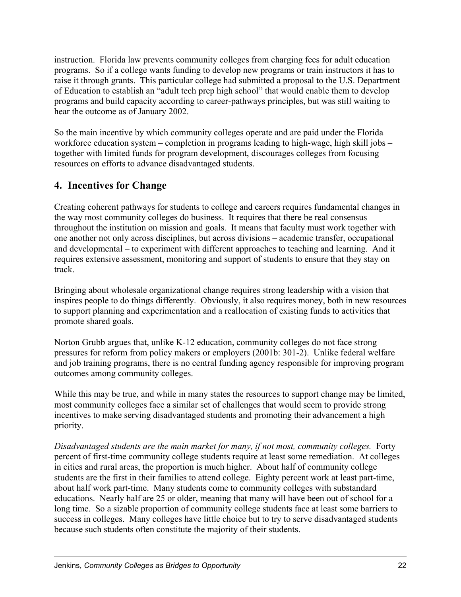instruction. Florida law prevents community colleges from charging fees for adult education programs. So if a college wants funding to develop new programs or train instructors it has to raise it through grants. This particular college had submitted a proposal to the U.S. Department of Education to establish an "adult tech prep high school" that would enable them to develop programs and build capacity according to career-pathways principles, but was still waiting to hear the outcome as of January 2002.

So the main incentive by which community colleges operate and are paid under the Florida workforce education system – completion in programs leading to high-wage, high skill jobs – together with limited funds for program development, discourages colleges from focusing resources on efforts to advance disadvantaged students.

## **4. Incentives for Change**

Creating coherent pathways for students to college and careers requires fundamental changes in the way most community colleges do business. It requires that there be real consensus throughout the institution on mission and goals. It means that faculty must work together with one another not only across disciplines, but across divisions – academic transfer, occupational and developmental – to experiment with different approaches to teaching and learning. And it requires extensive assessment, monitoring and support of students to ensure that they stay on track.

Bringing about wholesale organizational change requires strong leadership with a vision that inspires people to do things differently. Obviously, it also requires money, both in new resources to support planning and experimentation and a reallocation of existing funds to activities that promote shared goals.

Norton Grubb argues that, unlike K-12 education, community colleges do not face strong pressures for reform from policy makers or employers (2001b: 301-2). Unlike federal welfare and job training programs, there is no central funding agency responsible for improving program outcomes among community colleges.

While this may be true, and while in many states the resources to support change may be limited, most community colleges face a similar set of challenges that would seem to provide strong incentives to make serving disadvantaged students and promoting their advancement a high priority.

*Disadvantaged students are the main market for many, if not most, community colleges.* Forty percent of first-time community college students require at least some remediation. At colleges in cities and rural areas, the proportion is much higher. About half of community college students are the first in their families to attend college. Eighty percent work at least part-time, about half work part-time. Many students come to community colleges with substandard educations. Nearly half are 25 or older, meaning that many will have been out of school for a long time. So a sizable proportion of community college students face at least some barriers to success in colleges. Many colleges have little choice but to try to serve disadvantaged students because such students often constitute the majority of their students.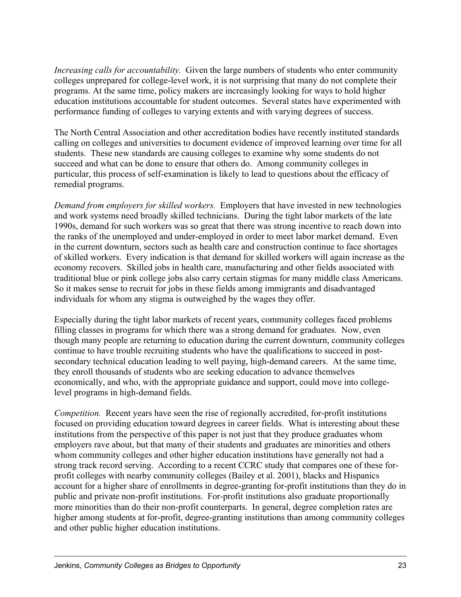*Increasing calls for accountability.* Given the large numbers of students who enter community colleges unprepared for college-level work, it is not surprising that many do not complete their programs. At the same time, policy makers are increasingly looking for ways to hold higher education institutions accountable for student outcomes. Several states have experimented with performance funding of colleges to varying extents and with varying degrees of success.

The North Central Association and other accreditation bodies have recently instituted standards calling on colleges and universities to document evidence of improved learning over time for all students. These new standards are causing colleges to examine why some students do not succeed and what can be done to ensure that others do. Among community colleges in particular, this process of self-examination is likely to lead to questions about the efficacy of remedial programs.

*Demand from employers for skilled workers.* Employers that have invested in new technologies and work systems need broadly skilled technicians. During the tight labor markets of the late 1990s, demand for such workers was so great that there was strong incentive to reach down into the ranks of the unemployed and under-employed in order to meet labor market demand. Even in the current downturn, sectors such as health care and construction continue to face shortages of skilled workers. Every indication is that demand for skilled workers will again increase as the economy recovers. Skilled jobs in health care, manufacturing and other fields associated with traditional blue or pink college jobs also carry certain stigmas for many middle class Americans. So it makes sense to recruit for jobs in these fields among immigrants and disadvantaged individuals for whom any stigma is outweighed by the wages they offer.

Especially during the tight labor markets of recent years, community colleges faced problems filling classes in programs for which there was a strong demand for graduates. Now, even though many people are returning to education during the current downturn, community colleges continue to have trouble recruiting students who have the qualifications to succeed in postsecondary technical education leading to well paying, high-demand careers. At the same time, they enroll thousands of students who are seeking education to advance themselves economically, and who, with the appropriate guidance and support, could move into collegelevel programs in high-demand fields.

*Competition.* Recent years have seen the rise of regionally accredited, for-profit institutions focused on providing education toward degrees in career fields. What is interesting about these institutions from the perspective of this paper is not just that they produce graduates whom employers rave about, but that many of their students and graduates are minorities and others whom community colleges and other higher education institutions have generally not had a strong track record serving. According to a recent CCRC study that compares one of these forprofit colleges with nearby community colleges (Bailey et al. 2001), blacks and Hispanics account for a higher share of enrollments in degree-granting for-profit institutions than they do in public and private non-profit institutions. For-profit institutions also graduate proportionally more minorities than do their non-profit counterparts. In general, degree completion rates are higher among students at for-profit, degree-granting institutions than among community colleges and other public higher education institutions.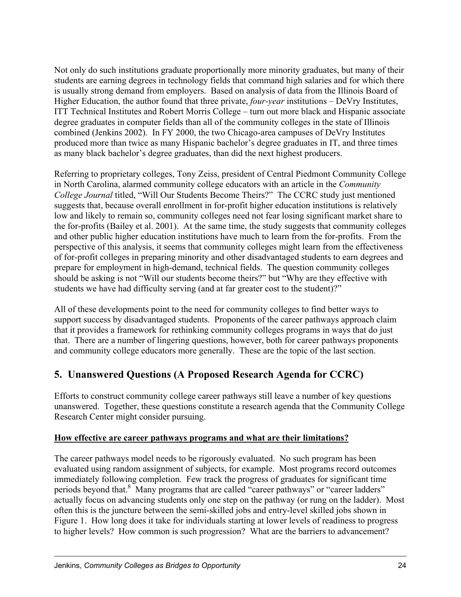Not only do such institutions graduate proportionally more minority graduates, but many of their students are earning degrees in technology fields that command high salaries and for which there is usually strong demand from employers. Based on analysis of data from the Illinois Board of Higher Education, the author found that three private, *four-year* institutions – DeVry Institutes, ITT Technical Institutes and Robert Morris College – turn out more black and Hispanic associate degree graduates in computer fields than all of the community colleges in the state of Illinois combined (Jenkins 2002). In FY 2000, the two Chicago-area campuses of DeVry Institutes produced more than twice as many Hispanic bachelor's degree graduates in IT, and three times as many black bachelor's degree graduates, than did the next highest producers.

Referring to proprietary colleges, Tony Zeiss, president of Central Piedmont Community College in North Carolina, alarmed community college educators with an article in the *Community College Journal* titled, "Will Our Students Become Theirs?" The CCRC study just mentioned suggests that, because overall enrollment in for-profit higher education institutions is relatively low and likely to remain so, community colleges need not fear losing significant market share to the for-profits (Bailey et al. 2001). At the same time, the study suggests that community colleges and other public higher education institutions have much to learn from the for-profits. From the perspective of this analysis, it seems that community colleges might learn from the effectiveness of for-profit colleges in preparing minority and other disadvantaged students to earn degrees and prepare for employment in high-demand, technical fields. The question community colleges should be asking is not "Will our students become theirs?" but "Why are they effective with students we have had difficulty serving (and at far greater cost to the student)?"

All of these developments point to the need for community colleges to find better ways to support success by disadvantaged students. Proponents of the career pathways approach claim that it provides a framework for rethinking community colleges programs in ways that do just that. There are a number of lingering questions, however, both for career pathways proponents and community college educators more generally. These are the topic of the last section.

# **5. Unanswered Questions (A Proposed Research Agenda for CCRC)**

Efforts to construct community college career pathways still leave a number of key questions unanswered. Together, these questions constitute a research agenda that the Community College Research Center might consider pursuing.

### **How effective are career pathways programs and what are their limitations?**

The career pathways model needs to be rigorously evaluated. No such program has been evaluated using random assignment of subjects, for example. Most programs record outcomes immediately following completion. Few track the progress of graduates for significant time periods beyond that.<sup>8</sup> Many programs that are called "career pathways" or "career ladders" actually focus on advancing students only one step on the pathway (or rung on the ladder). Most often this is the juncture between the semi-skilled jobs and entry-level skilled jobs shown in Figure 1. How long does it take for individuals starting at lower levels of readiness to progress to higher levels? How common is such progression? What are the barriers to advancement?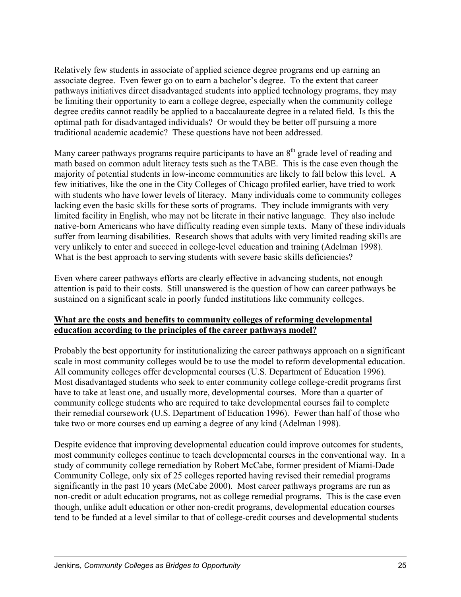Relatively few students in associate of applied science degree programs end up earning an associate degree. Even fewer go on to earn a bachelor's degree. To the extent that career pathways initiatives direct disadvantaged students into applied technology programs, they may be limiting their opportunity to earn a college degree, especially when the community college degree credits cannot readily be applied to a baccalaureate degree in a related field. Is this the optimal path for disadvantaged individuals? Or would they be better off pursuing a more traditional academic academic? These questions have not been addressed.

Many career pathways programs require participants to have an  $8<sup>th</sup>$  grade level of reading and math based on common adult literacy tests such as the TABE. This is the case even though the majority of potential students in low-income communities are likely to fall below this level. A few initiatives, like the one in the City Colleges of Chicago profiled earlier, have tried to work with students who have lower levels of literacy. Many individuals come to community colleges lacking even the basic skills for these sorts of programs. They include immigrants with very limited facility in English, who may not be literate in their native language. They also include native-born Americans who have difficulty reading even simple texts. Many of these individuals suffer from learning disabilities. Research shows that adults with very limited reading skills are very unlikely to enter and succeed in college-level education and training (Adelman 1998). What is the best approach to serving students with severe basic skills deficiencies?

Even where career pathways efforts are clearly effective in advancing students, not enough attention is paid to their costs. Still unanswered is the question of how can career pathways be sustained on a significant scale in poorly funded institutions like community colleges.

#### **What are the costs and benefits to community colleges of reforming developmental education according to the principles of the career pathways model?**

Probably the best opportunity for institutionalizing the career pathways approach on a significant scale in most community colleges would be to use the model to reform developmental education. All community colleges offer developmental courses (U.S. Department of Education 1996). Most disadvantaged students who seek to enter community college college-credit programs first have to take at least one, and usually more, developmental courses. More than a quarter of community college students who are required to take developmental courses fail to complete their remedial coursework (U.S. Department of Education 1996). Fewer than half of those who take two or more courses end up earning a degree of any kind (Adelman 1998).

Despite evidence that improving developmental education could improve outcomes for students, most community colleges continue to teach developmental courses in the conventional way. In a study of community college remediation by Robert McCabe, former president of Miami-Dade Community College, only six of 25 colleges reported having revised their remedial programs significantly in the past 10 years (McCabe 2000). Most career pathways programs are run as non-credit or adult education programs, not as college remedial programs. This is the case even though, unlike adult education or other non-credit programs, developmental education courses tend to be funded at a level similar to that of college-credit courses and developmental students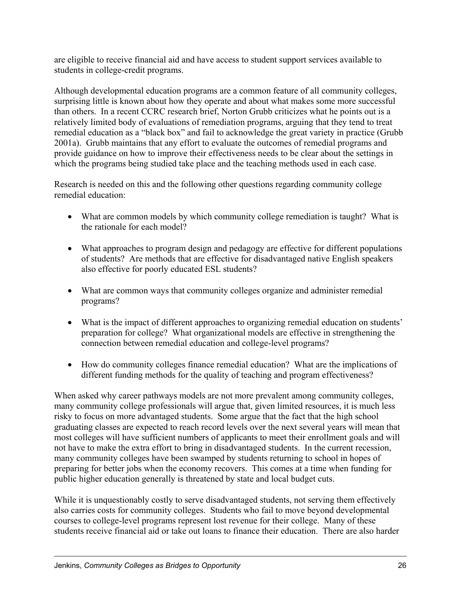are eligible to receive financial aid and have access to student support services available to students in college-credit programs.

Although developmental education programs are a common feature of all community colleges, surprising little is known about how they operate and about what makes some more successful than others. In a recent CCRC research brief, Norton Grubb criticizes what he points out is a relatively limited body of evaluations of remediation programs, arguing that they tend to treat remedial education as a "black box" and fail to acknowledge the great variety in practice (Grubb 2001a). Grubb maintains that any effort to evaluate the outcomes of remedial programs and provide guidance on how to improve their effectiveness needs to be clear about the settings in which the programs being studied take place and the teaching methods used in each case.

Research is needed on this and the following other questions regarding community college remedial education:

- What are common models by which community college remediation is taught? What is the rationale for each model?
- What approaches to program design and pedagogy are effective for different populations of students? Are methods that are effective for disadvantaged native English speakers also effective for poorly educated ESL students?
- What are common ways that community colleges organize and administer remedial programs?
- What is the impact of different approaches to organizing remedial education on students' preparation for college? What organizational models are effective in strengthening the connection between remedial education and college-level programs?
- How do community colleges finance remedial education? What are the implications of different funding methods for the quality of teaching and program effectiveness?

When asked why career pathways models are not more prevalent among community colleges, many community college professionals will argue that, given limited resources, it is much less risky to focus on more advantaged students. Some argue that the fact that the high school graduating classes are expected to reach record levels over the next several years will mean that most colleges will have sufficient numbers of applicants to meet their enrollment goals and will not have to make the extra effort to bring in disadvantaged students. In the current recession, many community colleges have been swamped by students returning to school in hopes of preparing for better jobs when the economy recovers. This comes at a time when funding for public higher education generally is threatened by state and local budget cuts.

While it is unquestionably costly to serve disadvantaged students, not serving them effectively also carries costs for community colleges. Students who fail to move beyond developmental courses to college-level programs represent lost revenue for their college. Many of these students receive financial aid or take out loans to finance their education. There are also harder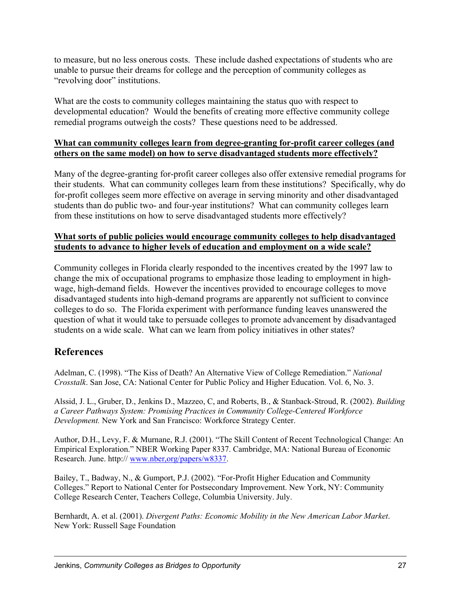to measure, but no less onerous costs. These include dashed expectations of students who are unable to pursue their dreams for college and the perception of community colleges as "revolving door" institutions.

What are the costs to community colleges maintaining the status quo with respect to developmental education? Would the benefits of creating more effective community college remedial programs outweigh the costs? These questions need to be addressed.

#### **What can community colleges learn from degree-granting for-profit career colleges (and others on the same model) on how to serve disadvantaged students more effectively?**

Many of the degree-granting for-profit career colleges also offer extensive remedial programs for their students. What can community colleges learn from these institutions? Specifically, why do for-profit colleges seem more effective on average in serving minority and other disadvantaged students than do public two- and four-year institutions? What can community colleges learn from these institutions on how to serve disadvantaged students more effectively?

#### **What sorts of public policies would encourage community colleges to help disadvantaged students to advance to higher levels of education and employment on a wide scale?**

Community colleges in Florida clearly responded to the incentives created by the 1997 law to change the mix of occupational programs to emphasize those leading to employment in highwage, high-demand fields. However the incentives provided to encourage colleges to move disadvantaged students into high-demand programs are apparently not sufficient to convince colleges to do so. The Florida experiment with performance funding leaves unanswered the question of what it would take to persuade colleges to promote advancement by disadvantaged students on a wide scale. What can we learn from policy initiatives in other states?

## **References**

Adelman, C. (1998). "The Kiss of Death? An Alternative View of College Remediation." *National Crosstalk*. San Jose, CA: National Center for Public Policy and Higher Education. Vol. 6, No. 3.

Alssid, J. L., Gruber, D., Jenkins D., Mazzeo, C, and Roberts, B., & Stanback-Stroud, R. (2002). *Building a Career Pathways System: Promising Practices in Community College-Centered Workforce Development.* New York and San Francisco: Workforce Strategy Center.

Author, D.H., Levy, F. & Murnane, R.J. (2001). "The Skill Content of Recent Technological Change: An Empirical Exploration." NBER Working Paper 8337. Cambridge, MA: National Bureau of Economic Research. June. http:// www.nber,org/papers/w8337.

Bailey, T., Badway, N., & Gumport, P.J. (2002). "For-Profit Higher Education and Community Colleges." Report to National Center for Postsecondary Improvement. New York, NY: Community College Research Center, Teachers College, Columbia University. July.

Bernhardt, A. et al. (2001). *Divergent Paths: Economic Mobility in the New American Labor Market*. New York: Russell Sage Foundation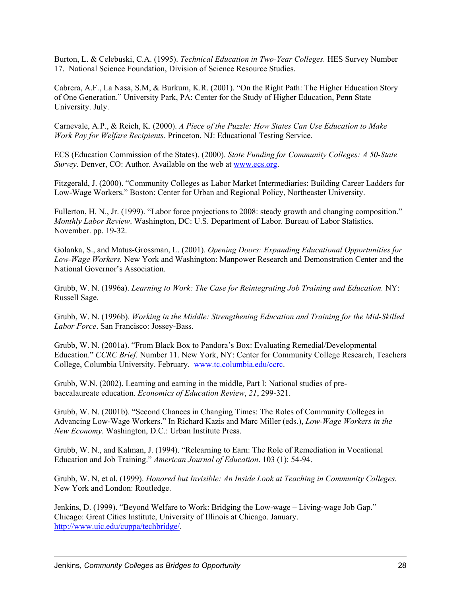Burton, L. & Celebuski, C.A. (1995). *Technical Education in Two-Year Colleges.* HES Survey Number 17. National Science Foundation, Division of Science Resource Studies.

Cabrera, A.F., La Nasa, S.M, & Burkum, K.R. (2001). "On the Right Path: The Higher Education Story of One Generation." University Park, PA: Center for the Study of Higher Education, Penn State University. July.

Carnevale, A.P., & Reich, K. (2000). *A Piece of the Puzzle: How States Can Use Education to Make Work Pay for Welfare Recipients*. Princeton, NJ: Educational Testing Service.

ECS (Education Commission of the States). (2000). *State Funding for Community Colleges: A 50-State Survey*. Denver, CO: Author. Available on the web at www.ecs.org.

Fitzgerald, J. (2000). "Community Colleges as Labor Market Intermediaries: Building Career Ladders for Low-Wage Workers." Boston: Center for Urban and Regional Policy, Northeaster University.

Fullerton, H. N., Jr. (1999). "Labor force projections to 2008: steady growth and changing composition." *Monthly Labor Review*. Washington, DC: U.S. Department of Labor. Bureau of Labor Statistics. November. pp. 19-32.

Golanka, S., and Matus-Grossman, L. (2001). *Opening Doors: Expanding Educational Opportunities for Low-Wage Workers.* New York and Washington: Manpower Research and Demonstration Center and the National Governor's Association.

Grubb, W. N. (1996a). *Learning to Work: The Case for Reintegrating Job Training and Education.* NY: Russell Sage.

Grubb, W. N. (1996b). *Working in the Middle: Strengthening Education and Training for the Mid-Skilled Labor Force*. San Francisco: Jossey-Bass.

Grubb, W. N. (2001a). "From Black Box to Pandora's Box: Evaluating Remedial/Developmental Education." *CCRC Brief.* Number 11. New York, NY: Center for Community College Research, Teachers College, Columbia University. February. www.tc.columbia.edu/ccrc.

Grubb, W.N. (2002). Learning and earning in the middle, Part I: National studies of prebaccalaureate education. *Economics of Education Review*, *21*, 299-321.

Grubb, W. N. (2001b). "Second Chances in Changing Times: The Roles of Community Colleges in Advancing Low-Wage Workers." In Richard Kazis and Marc Miller (eds.), *Low-Wage Workers in the New Economy*. Washington, D.C.: Urban Institute Press.

Grubb, W. N., and Kalman, J. (1994). "Relearning to Earn: The Role of Remediation in Vocational Education and Job Training." *American Journal of Education*. 103 (1): 54-94.

Grubb, W. N, et al. (1999). *Honored but Invisible: An Inside Look at Teaching in Community Colleges.* New York and London: Routledge.

Jenkins, D. (1999). "Beyond Welfare to Work: Bridging the Low-wage – Living-wage Job Gap." Chicago: Great Cities Institute, University of Illinois at Chicago. January. http://www.uic.edu/cuppa/techbridge/.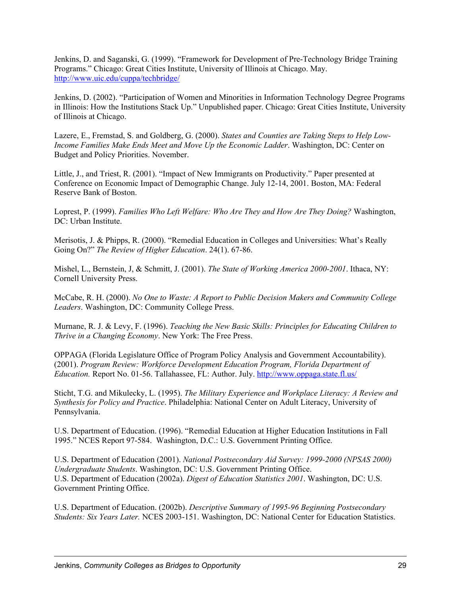Jenkins, D. and Saganski, G. (1999). "Framework for Development of Pre-Technology Bridge Training Programs." Chicago: Great Cities Institute, University of Illinois at Chicago. May. http://www.uic.edu/cuppa/techbridge/

Jenkins, D. (2002). "Participation of Women and Minorities in Information Technology Degree Programs in Illinois: How the Institutions Stack Up." Unpublished paper. Chicago: Great Cities Institute, University of Illinois at Chicago.

Lazere, E., Fremstad, S. and Goldberg, G. (2000). *States and Counties are Taking Steps to Help Low-Income Families Make Ends Meet and Move Up the Economic Ladder*. Washington, DC: Center on Budget and Policy Priorities. November.

Little, J., and Triest, R. (2001). "Impact of New Immigrants on Productivity." Paper presented at Conference on Economic Impact of Demographic Change. July 12-14, 2001. Boston, MA: Federal Reserve Bank of Boston.

Loprest, P. (1999). *Families Who Left Welfare: Who Are They and How Are They Doing?* Washington, DC: Urban Institute.

Merisotis, J. & Phipps, R. (2000). "Remedial Education in Colleges and Universities: What's Really Going On?" *The Review of Higher Education*. 24(1). 67-86.

Mishel, L., Bernstein, J, & Schmitt, J. (2001). *The State of Working America 2000-2001*. Ithaca, NY: Cornell University Press.

McCabe, R. H. (2000). *No One to Waste: A Report to Public Decision Makers and Community College Leaders*. Washington, DC: Community College Press.

Murnane, R. J. & Levy, F. (1996). *Teaching the New Basic Skills: Principles for Educating Children to Thrive in a Changing Economy*. New York: The Free Press.

OPPAGA (Florida Legislature Office of Program Policy Analysis and Government Accountability). (2001). *Program Review: Workforce Development Education Program, Florida Department of Education.* Report No. 01-56. Tallahassee, FL: Author. July. http://www.oppaga.state.fl.us/

Sticht, T.G. and Mikulecky, L. (1995). *The Military Experience and Workplace Literacy: A Review and Synthesis for Policy and Practice*. Philadelphia: National Center on Adult Literacy, University of Pennsylvania.

U.S. Department of Education. (1996). "Remedial Education at Higher Education Institutions in Fall 1995." NCES Report 97-584. Washington, D.C.: U.S. Government Printing Office.

U.S. Department of Education (2001). *National Postsecondary Aid Survey: 1999-2000 (NPSAS 2000) Undergraduate Students*. Washington, DC: U.S. Government Printing Office. U.S. Department of Education (2002a). *Digest of Education Statistics 2001*. Washington, DC: U.S. Government Printing Office.

U.S. Department of Education. (2002b). *Descriptive Summary of 1995-96 Beginning Postsecondary Students: Six Years Later.* NCES 2003-151. Washington, DC: National Center for Education Statistics.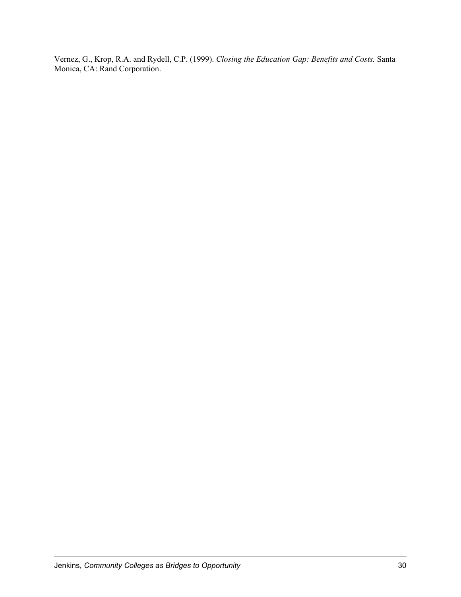Vernez, G., Krop, R.A. and Rydell, C.P. (1999). *Closing the Education Gap: Benefits and Costs.* Santa Monica, CA: Rand Corporation.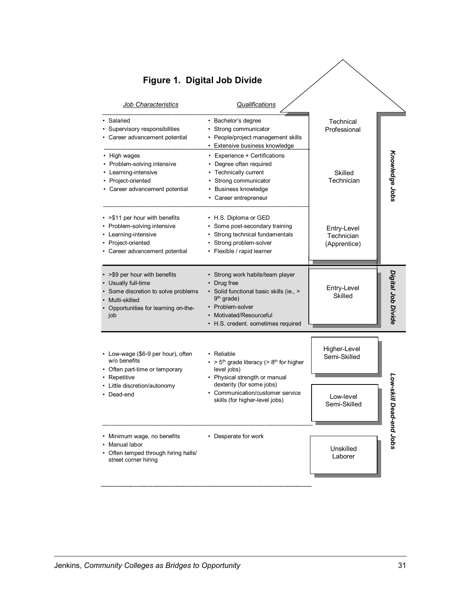| <b>Job Characteristics</b>                                                                                                                                     | Qualifications                                                                                                                                                                                          |                                           |                    |
|----------------------------------------------------------------------------------------------------------------------------------------------------------------|---------------------------------------------------------------------------------------------------------------------------------------------------------------------------------------------------------|-------------------------------------------|--------------------|
| Salaried<br>• Supervisory responsibilities<br>• Career advancement potential                                                                                   | · Bachelor's degree<br>• Strong communicator<br>• People/project management skills<br>• Extensive business knowledge                                                                                    | Technical<br>Professional                 |                    |
| • High wages<br>• Problem-solving intensive<br>• Learning-intensive<br>• Project-oriented<br>• Career advancement potential                                    | • Experience + Certifications<br>• Degree often required<br>• Technically current<br>• Strong communicator<br>• Business knowledge<br>• Career entrepreneur                                             | Skilled<br>Technician                     | Knowledge Jobs     |
| • > \$11 per hour with benefits<br>• Problem-solving intensive<br>• Learning-intensive<br>• Project-oriented<br>• Career advancement potential                 | • H.S. Diploma or GED<br>• Some post-secondary training<br>• Strong technical fundamentals<br>• Strong problem-solver<br>• Flexible / rapid learner                                                     | Entry-Level<br>Technician<br>(Apprentice) |                    |
| • > \$9 per hour with benefits<br>• Usually full-time<br>• Some discretion to solve problems<br>• Multi-skilled<br>• Opportunities for learning on-the-<br>job | • Strong work habits/team player<br>• Drug free<br>· Solid functional basic skills (ie., ><br>9 <sup>th</sup> grade)<br>• Problem-solver<br>Motivated/Resourceful<br>• H.S. credent. sometimes required | Entry-Level<br><b>Skilled</b>             | Digital Job Divide |
| • Low-wage (\$6-9 per hour), often<br>w/o benefits<br>• Often part-time or temporary<br>• Repetitive                                                           | • Reliable<br>• > $5th$ grade literacy (> $8th$ for higher<br>level jobs)<br>• Physical strength or manual                                                                                              | Higher-Level<br>Semi-Skilled              |                    |
| • Little discretion/autonomy<br>• Dead-end                                                                                                                     | dexterity (for some jobs)<br>• Communication/customer service<br>skills (for higher-level jobs)                                                                                                         | Low-level<br>Semi-Skilled                 | Low-skill Dead-e   |
| • Minimum wage, no benefits<br>Manual labor<br>• Often temped through hiring halls/<br>street corner hiring                                                    | • Desperate for work                                                                                                                                                                                    | Unskilled<br>Laborer                      | sqor pu            |

# **Figure 1. Digital Job Divide**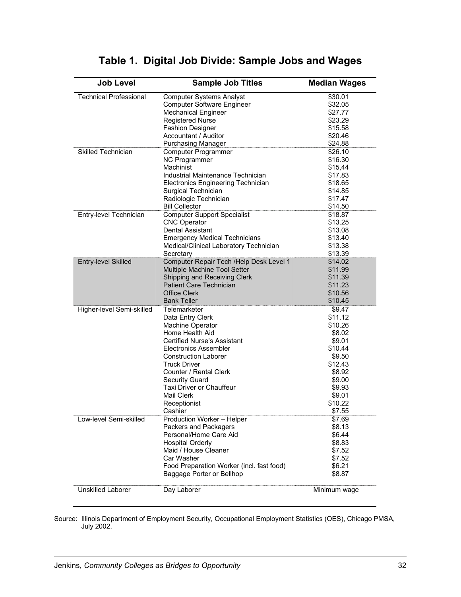| <b>Job Level</b>              | <b>Sample Job Titles</b>                  | <b>Median Wages</b> |
|-------------------------------|-------------------------------------------|---------------------|
| <b>Technical Professional</b> | <b>Computer Systems Analyst</b>           | \$30.01             |
|                               | Computer Software Engineer                | \$32.05             |
|                               | <b>Mechanical Engineer</b>                | \$27.77             |
|                               | Registered Nurse                          | \$23.29             |
|                               | <b>Fashion Designer</b>                   | \$15.58             |
|                               | Accountant / Auditor                      | \$20.46             |
|                               | <b>Purchasing Manager</b>                 | \$24.88             |
| <b>Skilled Technician</b>     | Computer Programmer                       | \$26.10             |
|                               | NC Programmer                             | \$16.30             |
|                               | Machinist                                 | \$15,44             |
|                               | Industrial Maintenance Technician         | \$17.83             |
|                               | Electronics Engineering Technician        | \$18.65             |
|                               | Surgical Technician                       | \$14.85             |
|                               | Radiologic Technician                     | \$17.47             |
|                               | <b>Bill Collector</b>                     | \$14.50             |
| Entry-level Technician        | <b>Computer Support Specialist</b>        | \$18.87             |
|                               | <b>CNC Operator</b>                       | \$13.25             |
|                               | <b>Dental Assistant</b>                   | \$13.08             |
|                               | <b>Emergency Medical Technicians</b>      | \$13.40             |
|                               | Medical/Clinical Laboratory Technician    | \$13.38             |
|                               | Secretary                                 | \$13.39             |
| Entry-level Skilled           | Computer Repair Tech /Help Desk Level 1   | \$14.02             |
|                               | Multiple Machine Tool Setter              | \$11.99             |
|                               | Shipping and Receiving Clerk              | \$11.39             |
|                               | <b>Patient Care Technician</b>            | \$11.23             |
|                               | <b>Office Clerk</b>                       | \$10.56             |
|                               | <b>Bank Teller</b>                        | \$10.45             |
| Higher-level Semi-skilled     | Telemarketer                              | \$9.47              |
|                               | Data Entry Clerk                          | \$11.12             |
|                               | Machine Operator                          | \$10.26             |
|                               | Home Health Aid                           | \$8.02              |
|                               | Certified Nurse's Assistant               | \$9.01              |
|                               | Electronics Assembler                     | \$10.44             |
|                               | <b>Construction Laborer</b>               | \$9.50              |
|                               | <b>Truck Driver</b>                       | \$12.43             |
|                               | Counter / Rental Clerk                    | \$8.92              |
|                               | Security Guard                            | \$9.00              |
|                               | Taxi Driver or Chauffeur                  | \$9.93              |
|                               | Mail Clerk                                | \$9.01              |
|                               | Receptionist                              | \$10.22             |
|                               | Cashier                                   | \$7.55              |
| Low-level Semi-skilled        | Production Worker - Helper                | \$7.69              |
|                               | Packers and Packagers                     | \$8.13              |
|                               | Personal/Home Care Aid                    | \$6.44              |
|                               | <b>Hospital Orderly</b>                   | \$8.83              |
|                               | Maid / House Cleaner                      | \$7.52              |
|                               | Car Washer                                | \$7.52              |
|                               | Food Preparation Worker (incl. fast food) | \$6.21              |
|                               | Baggage Porter or Bellhop                 | \$8.87              |
| <b>Unskilled Laborer</b>      | Day Laborer                               | Minimum wage        |

# **Table 1. Digital Job Divide: Sample Jobs and Wages**

Source: Illinois Department of Employment Security, Occupational Employment Statistics (OES), Chicago PMSA, July 2002.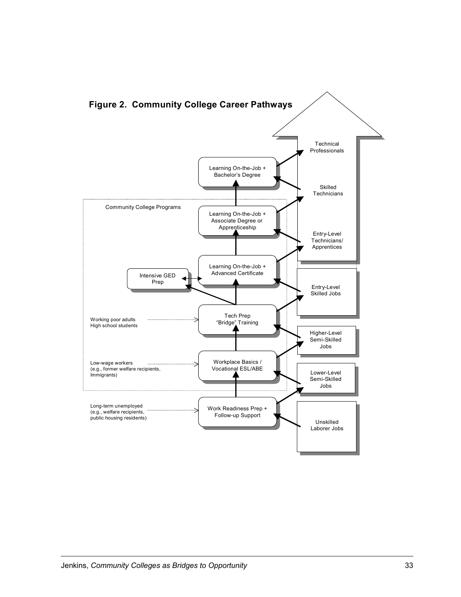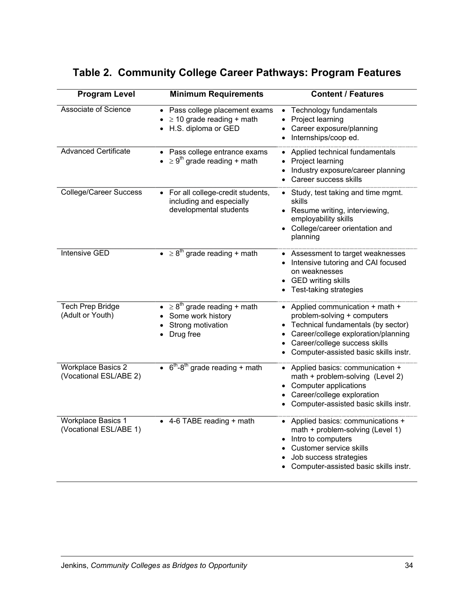| <b>Program Level</b>                                | <b>Minimum Requirements</b>                                                                        | <b>Content / Features</b>                                                                                                                                                                                              |
|-----------------------------------------------------|----------------------------------------------------------------------------------------------------|------------------------------------------------------------------------------------------------------------------------------------------------------------------------------------------------------------------------|
| <b>Associate of Science</b>                         | Pass college placement exams<br>$\bullet$<br>$\geq$ 10 grade reading + math<br>H.S. diploma or GED | Technology fundamentals<br>$\bullet$<br>Project learning<br>Career exposure/planning<br>Internships/coop ed.<br>$\bullet$                                                                                              |
| <b>Advanced Certificate</b>                         | Pass college entrance exams<br>$\geq 9^{th}$ grade reading + math                                  | Applied technical fundamentals<br>Project learning<br>Industry exposure/career planning<br>Career success skills                                                                                                       |
| <b>College/Career Success</b>                       | For all college-credit students,<br>including and especially<br>developmental students             | • Study, test taking and time mgmt.<br>skills<br>• Resume writing, interviewing,<br>employability skills<br>• College/career orientation and<br>planning                                                               |
| <b>Intensive GED</b>                                | $\bullet \geq 8^{th}$ grade reading + math                                                         | • Assessment to target weaknesses<br>• Intensive tutoring and CAI focused<br>on weaknesses<br><b>GED writing skills</b><br>Test-taking strategies<br>٠                                                                 |
| <b>Tech Prep Bridge</b><br>(Adult or Youth)         | • $\geq 8^{\text{th}}$ grade reading + math<br>Some work history<br>Strong motivation<br>Drug free | • Applied communication + math +<br>problem-solving + computers<br>Technical fundamentals (by sector)<br>Career/college exploration/planning<br>Career/college success skills<br>Computer-assisted basic skills instr. |
| <b>Workplace Basics 2</b><br>(Vocational ESL/ABE 2) | $\cdot$ 6 <sup>th</sup> -8 <sup>th</sup> grade reading + math                                      | • Applied basics: communication +<br>math + problem-solving (Level 2)<br><b>Computer applications</b><br>Career/college exploration<br>Computer-assisted basic skills instr.                                           |
| <b>Workplace Basics 1</b><br>(Vocational ESL/ABE 1) | • 4-6 TABE reading + math                                                                          | • Applied basics: communications +<br>math + problem-solving (Level 1)<br>Intro to computers<br>Customer service skills<br>Job success strategies<br>Computer-assisted basic skills instr.                             |

# **Table 2. Community College Career Pathways: Program Features**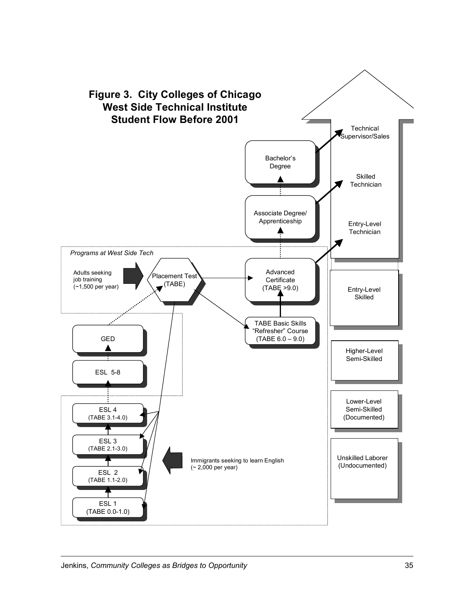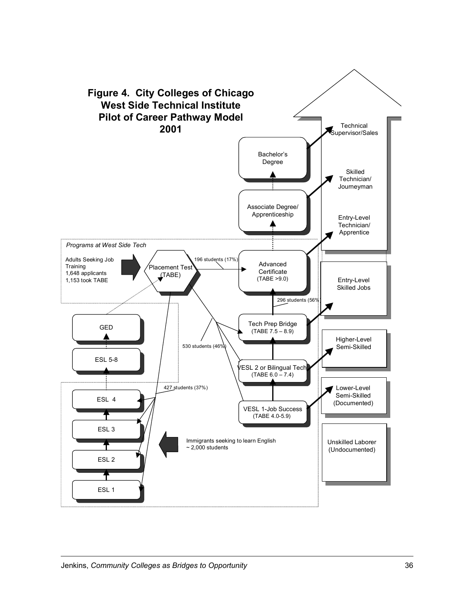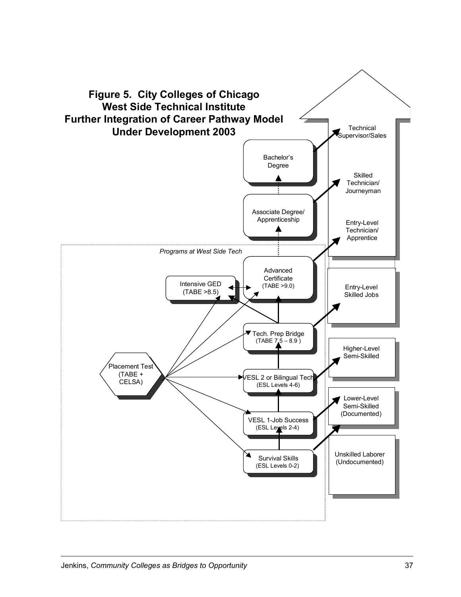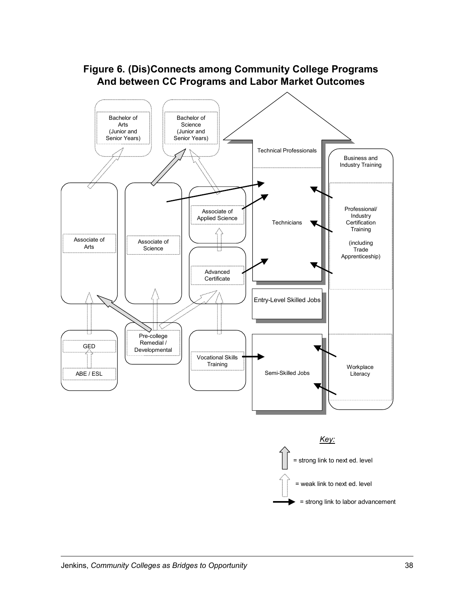

### **Figure 6. (Dis)Connects among Community College Programs And between CC Programs and Labor Market Outcomes**